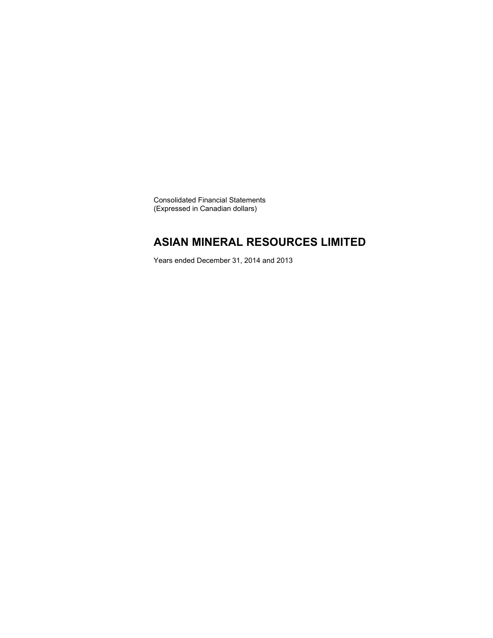Consolidated Financial Statements (Expressed in Canadian dollars)

# **ASIAN MINERAL RESOURCES LIMITED**

Years ended December 31, 2014 and 2013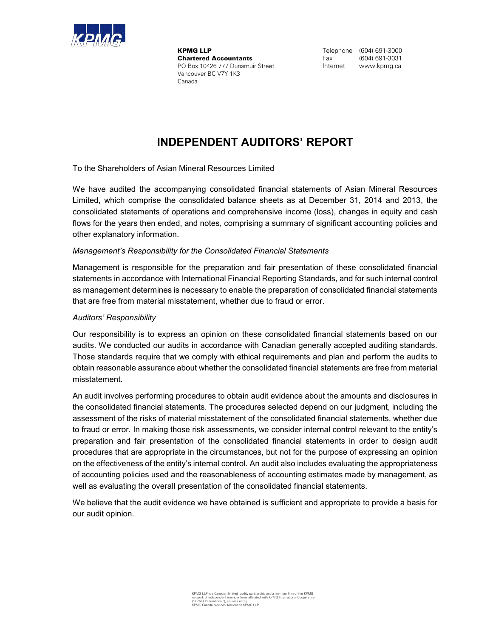

KPMG LLP Chartered Accountants PO Box 10426 777 Dunsmuir Street Vancouver BC V7Y 1K3 Canada

Telephone (604) 691-3000 Fax (604) 691-3031 Internet www.kpmg.ca

# **INDEPENDENT AUDITORS' REPORT**

To the Shareholders of Asian Mineral Resources Limited

We have audited the accompanying consolidated financial statements of Asian Mineral Resources Limited, which comprise the consolidated balance sheets as at December 31, 2014 and 2013, the consolidated statements of operations and comprehensive income (loss), changes in equity and cash flows for the years then ended, and notes, comprising a summary of significant accounting policies and other explanatory information.

# *Management's Responsibility for the Consolidated Financial Statements*

Management is responsible for the preparation and fair presentation of these consolidated financial statements in accordance with International Financial Reporting Standards, and for such internal control as management determines is necessary to enable the preparation of consolidated financial statements that are free from material misstatement, whether due to fraud or error.

## *Auditors' Responsibility*

Our responsibility is to express an opinion on these consolidated financial statements based on our audits. We conducted our audits in accordance with Canadian generally accepted auditing standards. Those standards require that we comply with ethical requirements and plan and perform the audits to obtain reasonable assurance about whether the consolidated financial statements are free from material misstatement.

An audit involves performing procedures to obtain audit evidence about the amounts and disclosures in the consolidated financial statements. The procedures selected depend on our judgment, including the assessment of the risks of material misstatement of the consolidated financial statements, whether due to fraud or error. In making those risk assessments, we consider internal control relevant to the entity's preparation and fair presentation of the consolidated financial statements in order to design audit procedures that are appropriate in the circumstances, but not for the purpose of expressing an opinion on the effectiveness of the entity's internal control. An audit also includes evaluating the appropriateness of accounting policies used and the reasonableness of accounting estimates made by management, as well as evaluating the overall presentation of the consolidated financial statements.

We believe that the audit evidence we have obtained is sufficient and appropriate to provide a basis for our audit opinion.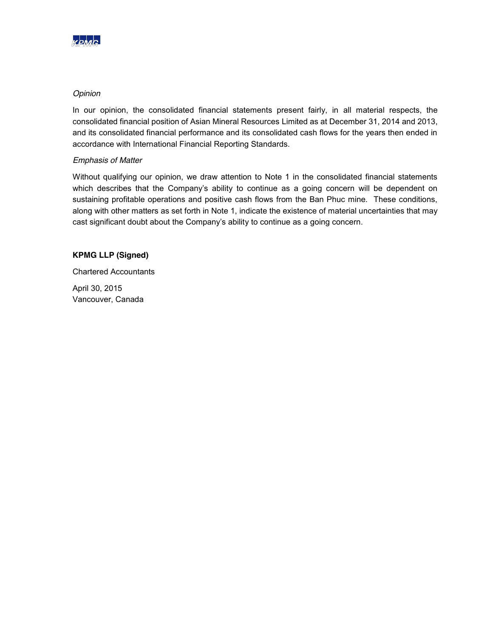

# *Opinion*

In our opinion, the consolidated financial statements present fairly, in all material respects, the consolidated financial position of Asian Mineral Resources Limited as at December 31, 2014 and 2013, and its consolidated financial performance and its consolidated cash flows for the years then ended in accordance with International Financial Reporting Standards.

# *Emphasis of Matter*

Without qualifying our opinion, we draw attention to Note 1 in the consolidated financial statements which describes that the Company's ability to continue as a going concern will be dependent on sustaining profitable operations and positive cash flows from the Ban Phuc mine. These conditions, along with other matters as set forth in Note 1, indicate the existence of material uncertainties that may cast significant doubt about the Company's ability to continue as a going concern.

# **KPMG LLP (Signed)**

Chartered Accountants

April 30, 2015 Vancouver, Canada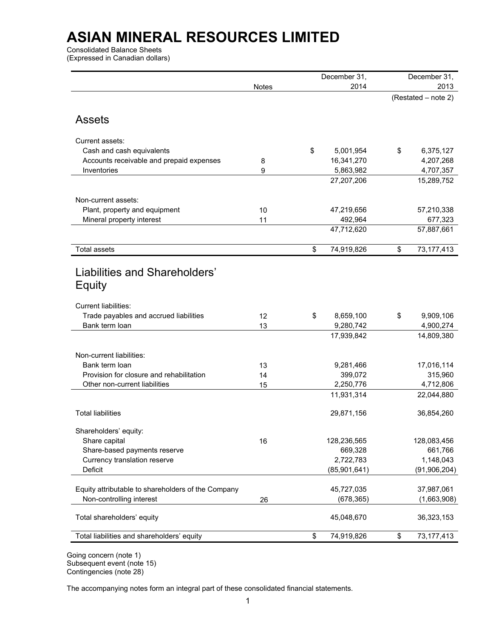Consolidated Balance Sheets (Expressed in Canadian dollars)

| 2013<br>2014<br><b>Notes</b><br>(Restated - note 2)<br><b>Assets</b><br>Current assets:<br>\$<br>\$<br>Cash and cash equivalents<br>5,001,954<br>6,375,127<br>Accounts receivable and prepaid expenses<br>16,341,270<br>4,207,268<br>8<br>Inventories<br>4,707,357<br>5,863,982<br>9<br>27,207,206<br>15,289,752<br>Non-current assets:<br>Plant, property and equipment<br>10<br>47,219,656<br>57,210,338<br>Mineral property interest<br>492,964<br>677,323<br>11<br>47,712,620<br>57,887,661<br><b>Total assets</b><br>\$<br>\$<br>73, 177, 413<br>74,919,826<br>Liabilities and Shareholders'<br>Equity<br><b>Current liabilities:</b><br>Trade payables and accrued liabilities<br>\$<br>8,659,100<br>\$<br>9,909,106<br>12<br>Bank term loan<br>9,280,742<br>4,900,274<br>13<br>17,939,842<br>14,809,380<br>Non-current liabilities:<br>Bank term loan<br>9,281,466<br>17,016,114<br>13<br>Provision for closure and rehabilitation<br>399,072<br>315,960<br>14<br>2,250,776<br>4,712,806<br>Other non-current liabilities<br>15<br>11,931,314<br>22,044,880<br><b>Total liabilities</b><br>29,871,156<br>36,854,260<br>Shareholders' equity:<br>128,236,565<br>Share capital<br>128,083,456<br>16<br>Share-based payments reserve<br>669,328<br>661,766<br>2,722,783<br>1,148,043<br>Currency translation reserve<br>Deficit<br>(85,901,641)<br>(91, 906, 204)<br>45,727,035<br>Equity attributable to shareholders of the Company<br>37,987,061<br>Non-controlling interest<br>(678, 365)<br>(1,663,908)<br>26<br>Total shareholders' equity<br>45,048,670<br>36,323,153<br>Total liabilities and shareholders' equity<br>\$<br>74,919,826<br>73, 177, 413 |  | December 31, | December 31, |  |  |
|--------------------------------------------------------------------------------------------------------------------------------------------------------------------------------------------------------------------------------------------------------------------------------------------------------------------------------------------------------------------------------------------------------------------------------------------------------------------------------------------------------------------------------------------------------------------------------------------------------------------------------------------------------------------------------------------------------------------------------------------------------------------------------------------------------------------------------------------------------------------------------------------------------------------------------------------------------------------------------------------------------------------------------------------------------------------------------------------------------------------------------------------------------------------------------------------------------------------------------------------------------------------------------------------------------------------------------------------------------------------------------------------------------------------------------------------------------------------------------------------------------------------------------------------------------------------------------------------------------------------------------------------------------------------|--|--------------|--------------|--|--|
|                                                                                                                                                                                                                                                                                                                                                                                                                                                                                                                                                                                                                                                                                                                                                                                                                                                                                                                                                                                                                                                                                                                                                                                                                                                                                                                                                                                                                                                                                                                                                                                                                                                                    |  |              |              |  |  |
|                                                                                                                                                                                                                                                                                                                                                                                                                                                                                                                                                                                                                                                                                                                                                                                                                                                                                                                                                                                                                                                                                                                                                                                                                                                                                                                                                                                                                                                                                                                                                                                                                                                                    |  |              |              |  |  |
|                                                                                                                                                                                                                                                                                                                                                                                                                                                                                                                                                                                                                                                                                                                                                                                                                                                                                                                                                                                                                                                                                                                                                                                                                                                                                                                                                                                                                                                                                                                                                                                                                                                                    |  |              |              |  |  |
|                                                                                                                                                                                                                                                                                                                                                                                                                                                                                                                                                                                                                                                                                                                                                                                                                                                                                                                                                                                                                                                                                                                                                                                                                                                                                                                                                                                                                                                                                                                                                                                                                                                                    |  |              |              |  |  |
|                                                                                                                                                                                                                                                                                                                                                                                                                                                                                                                                                                                                                                                                                                                                                                                                                                                                                                                                                                                                                                                                                                                                                                                                                                                                                                                                                                                                                                                                                                                                                                                                                                                                    |  |              |              |  |  |
|                                                                                                                                                                                                                                                                                                                                                                                                                                                                                                                                                                                                                                                                                                                                                                                                                                                                                                                                                                                                                                                                                                                                                                                                                                                                                                                                                                                                                                                                                                                                                                                                                                                                    |  |              |              |  |  |
|                                                                                                                                                                                                                                                                                                                                                                                                                                                                                                                                                                                                                                                                                                                                                                                                                                                                                                                                                                                                                                                                                                                                                                                                                                                                                                                                                                                                                                                                                                                                                                                                                                                                    |  |              |              |  |  |
|                                                                                                                                                                                                                                                                                                                                                                                                                                                                                                                                                                                                                                                                                                                                                                                                                                                                                                                                                                                                                                                                                                                                                                                                                                                                                                                                                                                                                                                                                                                                                                                                                                                                    |  |              |              |  |  |
|                                                                                                                                                                                                                                                                                                                                                                                                                                                                                                                                                                                                                                                                                                                                                                                                                                                                                                                                                                                                                                                                                                                                                                                                                                                                                                                                                                                                                                                                                                                                                                                                                                                                    |  |              |              |  |  |
|                                                                                                                                                                                                                                                                                                                                                                                                                                                                                                                                                                                                                                                                                                                                                                                                                                                                                                                                                                                                                                                                                                                                                                                                                                                                                                                                                                                                                                                                                                                                                                                                                                                                    |  |              |              |  |  |
|                                                                                                                                                                                                                                                                                                                                                                                                                                                                                                                                                                                                                                                                                                                                                                                                                                                                                                                                                                                                                                                                                                                                                                                                                                                                                                                                                                                                                                                                                                                                                                                                                                                                    |  |              |              |  |  |
|                                                                                                                                                                                                                                                                                                                                                                                                                                                                                                                                                                                                                                                                                                                                                                                                                                                                                                                                                                                                                                                                                                                                                                                                                                                                                                                                                                                                                                                                                                                                                                                                                                                                    |  |              |              |  |  |
|                                                                                                                                                                                                                                                                                                                                                                                                                                                                                                                                                                                                                                                                                                                                                                                                                                                                                                                                                                                                                                                                                                                                                                                                                                                                                                                                                                                                                                                                                                                                                                                                                                                                    |  |              |              |  |  |
|                                                                                                                                                                                                                                                                                                                                                                                                                                                                                                                                                                                                                                                                                                                                                                                                                                                                                                                                                                                                                                                                                                                                                                                                                                                                                                                                                                                                                                                                                                                                                                                                                                                                    |  |              |              |  |  |
|                                                                                                                                                                                                                                                                                                                                                                                                                                                                                                                                                                                                                                                                                                                                                                                                                                                                                                                                                                                                                                                                                                                                                                                                                                                                                                                                                                                                                                                                                                                                                                                                                                                                    |  |              |              |  |  |
|                                                                                                                                                                                                                                                                                                                                                                                                                                                                                                                                                                                                                                                                                                                                                                                                                                                                                                                                                                                                                                                                                                                                                                                                                                                                                                                                                                                                                                                                                                                                                                                                                                                                    |  |              |              |  |  |
|                                                                                                                                                                                                                                                                                                                                                                                                                                                                                                                                                                                                                                                                                                                                                                                                                                                                                                                                                                                                                                                                                                                                                                                                                                                                                                                                                                                                                                                                                                                                                                                                                                                                    |  |              |              |  |  |
|                                                                                                                                                                                                                                                                                                                                                                                                                                                                                                                                                                                                                                                                                                                                                                                                                                                                                                                                                                                                                                                                                                                                                                                                                                                                                                                                                                                                                                                                                                                                                                                                                                                                    |  |              |              |  |  |
|                                                                                                                                                                                                                                                                                                                                                                                                                                                                                                                                                                                                                                                                                                                                                                                                                                                                                                                                                                                                                                                                                                                                                                                                                                                                                                                                                                                                                                                                                                                                                                                                                                                                    |  |              |              |  |  |
|                                                                                                                                                                                                                                                                                                                                                                                                                                                                                                                                                                                                                                                                                                                                                                                                                                                                                                                                                                                                                                                                                                                                                                                                                                                                                                                                                                                                                                                                                                                                                                                                                                                                    |  |              |              |  |  |
|                                                                                                                                                                                                                                                                                                                                                                                                                                                                                                                                                                                                                                                                                                                                                                                                                                                                                                                                                                                                                                                                                                                                                                                                                                                                                                                                                                                                                                                                                                                                                                                                                                                                    |  |              |              |  |  |
|                                                                                                                                                                                                                                                                                                                                                                                                                                                                                                                                                                                                                                                                                                                                                                                                                                                                                                                                                                                                                                                                                                                                                                                                                                                                                                                                                                                                                                                                                                                                                                                                                                                                    |  |              |              |  |  |
|                                                                                                                                                                                                                                                                                                                                                                                                                                                                                                                                                                                                                                                                                                                                                                                                                                                                                                                                                                                                                                                                                                                                                                                                                                                                                                                                                                                                                                                                                                                                                                                                                                                                    |  |              |              |  |  |
|                                                                                                                                                                                                                                                                                                                                                                                                                                                                                                                                                                                                                                                                                                                                                                                                                                                                                                                                                                                                                                                                                                                                                                                                                                                                                                                                                                                                                                                                                                                                                                                                                                                                    |  |              |              |  |  |
|                                                                                                                                                                                                                                                                                                                                                                                                                                                                                                                                                                                                                                                                                                                                                                                                                                                                                                                                                                                                                                                                                                                                                                                                                                                                                                                                                                                                                                                                                                                                                                                                                                                                    |  |              |              |  |  |
|                                                                                                                                                                                                                                                                                                                                                                                                                                                                                                                                                                                                                                                                                                                                                                                                                                                                                                                                                                                                                                                                                                                                                                                                                                                                                                                                                                                                                                                                                                                                                                                                                                                                    |  |              |              |  |  |
|                                                                                                                                                                                                                                                                                                                                                                                                                                                                                                                                                                                                                                                                                                                                                                                                                                                                                                                                                                                                                                                                                                                                                                                                                                                                                                                                                                                                                                                                                                                                                                                                                                                                    |  |              |              |  |  |
|                                                                                                                                                                                                                                                                                                                                                                                                                                                                                                                                                                                                                                                                                                                                                                                                                                                                                                                                                                                                                                                                                                                                                                                                                                                                                                                                                                                                                                                                                                                                                                                                                                                                    |  |              |              |  |  |
|                                                                                                                                                                                                                                                                                                                                                                                                                                                                                                                                                                                                                                                                                                                                                                                                                                                                                                                                                                                                                                                                                                                                                                                                                                                                                                                                                                                                                                                                                                                                                                                                                                                                    |  |              |              |  |  |
|                                                                                                                                                                                                                                                                                                                                                                                                                                                                                                                                                                                                                                                                                                                                                                                                                                                                                                                                                                                                                                                                                                                                                                                                                                                                                                                                                                                                                                                                                                                                                                                                                                                                    |  |              |              |  |  |
|                                                                                                                                                                                                                                                                                                                                                                                                                                                                                                                                                                                                                                                                                                                                                                                                                                                                                                                                                                                                                                                                                                                                                                                                                                                                                                                                                                                                                                                                                                                                                                                                                                                                    |  |              |              |  |  |
|                                                                                                                                                                                                                                                                                                                                                                                                                                                                                                                                                                                                                                                                                                                                                                                                                                                                                                                                                                                                                                                                                                                                                                                                                                                                                                                                                                                                                                                                                                                                                                                                                                                                    |  |              |              |  |  |
|                                                                                                                                                                                                                                                                                                                                                                                                                                                                                                                                                                                                                                                                                                                                                                                                                                                                                                                                                                                                                                                                                                                                                                                                                                                                                                                                                                                                                                                                                                                                                                                                                                                                    |  |              |              |  |  |
|                                                                                                                                                                                                                                                                                                                                                                                                                                                                                                                                                                                                                                                                                                                                                                                                                                                                                                                                                                                                                                                                                                                                                                                                                                                                                                                                                                                                                                                                                                                                                                                                                                                                    |  |              |              |  |  |
|                                                                                                                                                                                                                                                                                                                                                                                                                                                                                                                                                                                                                                                                                                                                                                                                                                                                                                                                                                                                                                                                                                                                                                                                                                                                                                                                                                                                                                                                                                                                                                                                                                                                    |  |              |              |  |  |
|                                                                                                                                                                                                                                                                                                                                                                                                                                                                                                                                                                                                                                                                                                                                                                                                                                                                                                                                                                                                                                                                                                                                                                                                                                                                                                                                                                                                                                                                                                                                                                                                                                                                    |  |              |              |  |  |
|                                                                                                                                                                                                                                                                                                                                                                                                                                                                                                                                                                                                                                                                                                                                                                                                                                                                                                                                                                                                                                                                                                                                                                                                                                                                                                                                                                                                                                                                                                                                                                                                                                                                    |  |              |              |  |  |
|                                                                                                                                                                                                                                                                                                                                                                                                                                                                                                                                                                                                                                                                                                                                                                                                                                                                                                                                                                                                                                                                                                                                                                                                                                                                                                                                                                                                                                                                                                                                                                                                                                                                    |  |              |              |  |  |
|                                                                                                                                                                                                                                                                                                                                                                                                                                                                                                                                                                                                                                                                                                                                                                                                                                                                                                                                                                                                                                                                                                                                                                                                                                                                                                                                                                                                                                                                                                                                                                                                                                                                    |  |              |              |  |  |
|                                                                                                                                                                                                                                                                                                                                                                                                                                                                                                                                                                                                                                                                                                                                                                                                                                                                                                                                                                                                                                                                                                                                                                                                                                                                                                                                                                                                                                                                                                                                                                                                                                                                    |  |              |              |  |  |
|                                                                                                                                                                                                                                                                                                                                                                                                                                                                                                                                                                                                                                                                                                                                                                                                                                                                                                                                                                                                                                                                                                                                                                                                                                                                                                                                                                                                                                                                                                                                                                                                                                                                    |  |              |              |  |  |
|                                                                                                                                                                                                                                                                                                                                                                                                                                                                                                                                                                                                                                                                                                                                                                                                                                                                                                                                                                                                                                                                                                                                                                                                                                                                                                                                                                                                                                                                                                                                                                                                                                                                    |  |              |              |  |  |
|                                                                                                                                                                                                                                                                                                                                                                                                                                                                                                                                                                                                                                                                                                                                                                                                                                                                                                                                                                                                                                                                                                                                                                                                                                                                                                                                                                                                                                                                                                                                                                                                                                                                    |  |              |              |  |  |
|                                                                                                                                                                                                                                                                                                                                                                                                                                                                                                                                                                                                                                                                                                                                                                                                                                                                                                                                                                                                                                                                                                                                                                                                                                                                                                                                                                                                                                                                                                                                                                                                                                                                    |  |              |              |  |  |
|                                                                                                                                                                                                                                                                                                                                                                                                                                                                                                                                                                                                                                                                                                                                                                                                                                                                                                                                                                                                                                                                                                                                                                                                                                                                                                                                                                                                                                                                                                                                                                                                                                                                    |  |              | \$           |  |  |

Going concern (note 1) Subsequent event (note 15) Contingencies (note 28)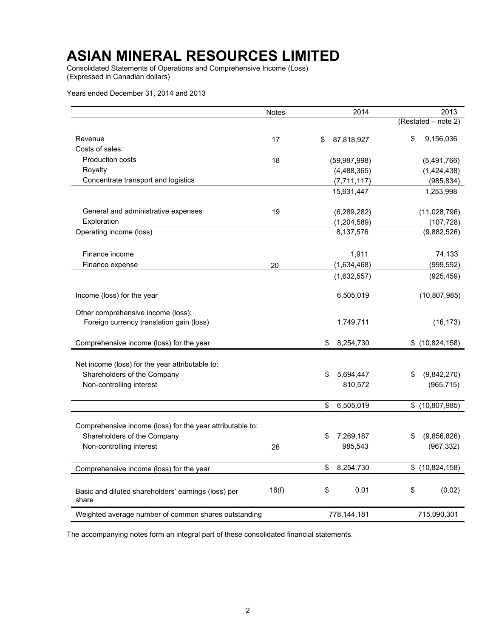Consolidated Statements of Operations and Comprehensive Income (Loss) (Expressed in Canadian dollars)

Years ended December 31, 2014 and 2013

|                                                                                          | Notes | 2014             | 2013                |  |  |
|------------------------------------------------------------------------------------------|-------|------------------|---------------------|--|--|
|                                                                                          |       |                  | (Restated - note 2) |  |  |
| Revenue                                                                                  | 17    | 87,818,927<br>\$ | 9,156,036<br>\$     |  |  |
| Costs of sales:                                                                          |       |                  |                     |  |  |
| <b>Production costs</b>                                                                  | 18    | (59, 987, 998)   | (5,491,766)         |  |  |
| Royalty                                                                                  |       | (4, 488, 365)    | (1,424,438)         |  |  |
| Concentrate transport and logistics                                                      |       | (7, 711, 117)    | (985, 834)          |  |  |
|                                                                                          |       | 15,631,447       | 1,253,998           |  |  |
| General and administrative expenses                                                      | 19    | (6, 289, 282)    | (11,028,796)        |  |  |
| Exploration                                                                              |       | (1,204,589)      | (107, 728)          |  |  |
| Operating income (loss)                                                                  |       | 8,137,576        | (9,882,526)         |  |  |
| Finance income                                                                           |       | 1,911            | 74,133              |  |  |
| Finance expense                                                                          | 20    | (1,634,468)      | (999, 592)          |  |  |
|                                                                                          |       | (1,632,557)      | (925, 459)          |  |  |
| Income (loss) for the year                                                               |       | 6,505,019        | (10, 807, 985)      |  |  |
| Other comprehensive income (loss):<br>Foreign currency translation gain (loss)           |       | 1,749,711        | (16, 173)           |  |  |
| Comprehensive income (loss) for the year                                                 |       | \$<br>8,254,730  | \$(10,824,158)      |  |  |
| Net income (loss) for the year attributable to:                                          |       |                  |                     |  |  |
| Shareholders of the Company                                                              |       | \$<br>5,694,447  | (9,842,270)<br>\$   |  |  |
| Non-controlling interest                                                                 |       | 810,572          | (965, 715)          |  |  |
|                                                                                          |       | \$<br>6,505,019  | \$(10,807,985)      |  |  |
|                                                                                          |       |                  |                     |  |  |
| Comprehensive income (loss) for the year attributable to:<br>Shareholders of the Company |       | 7,269,187<br>\$  | (9,856,826)<br>\$   |  |  |
| Non-controlling interest                                                                 | 26    | 985,543          | (967, 332)          |  |  |
|                                                                                          |       |                  |                     |  |  |
| Comprehensive income (loss) for the year                                                 |       | \$<br>8,254,730  | \$(10,824,158)      |  |  |
| Basic and diluted shareholders' earnings (loss) per<br>share                             | 16(f) | \$<br>0.01       | \$<br>(0.02)        |  |  |
| Weighted average number of common shares outstanding                                     |       | 778,144,181      | 715,090,301         |  |  |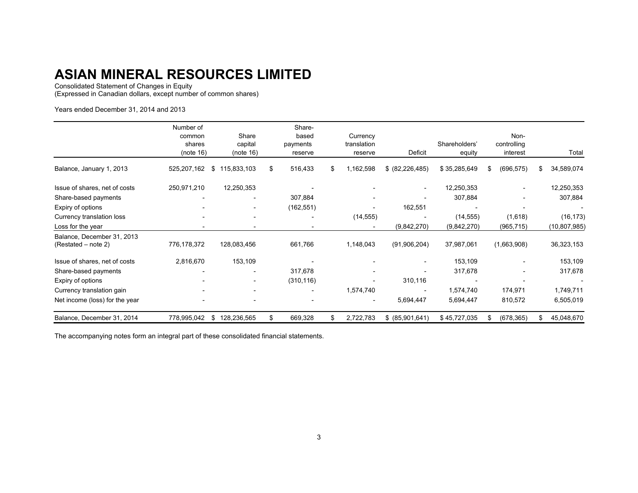Consolidated Statement of Changes in Equity

(Expressed in Canadian dollars, except number of common shares)

Years ended December 31, 2014 and 2013

|                                                   | Number of   |                          | Share-                   |   |             |                          |               |                  |                  |
|---------------------------------------------------|-------------|--------------------------|--------------------------|---|-------------|--------------------------|---------------|------------------|------------------|
|                                                   | common      | Share                    | based                    |   | Currency    |                          |               | Non-             |                  |
|                                                   | shares      | capital                  | payments                 |   | translation |                          | Shareholders' | controlling      |                  |
|                                                   | (note 16)   | (note 16)                | reserve                  |   | reserve     | Deficit                  | equity        | interest         | Total            |
| Balance, January 1, 2013                          | 525,207,162 | 115,833,103<br>\$        | \$<br>516,433            | S | 1,162,598   | \$ (82, 226, 485)        | \$35,285,649  | (696, 575)<br>\$ | \$<br>34,589,074 |
| Issue of shares, net of costs                     | 250,971,210 | 12,250,353               |                          |   |             | $\overline{\phantom{a}}$ | 12,250,353    |                  | 12,250,353       |
| Share-based payments                              |             | $\overline{\phantom{a}}$ | 307,884                  |   |             |                          | 307,884       |                  | 307,884          |
| Expiry of options                                 |             |                          | (162, 551)               |   |             | 162,551                  |               |                  |                  |
| Currency translation loss                         |             | $\overline{\phantom{a}}$ | $\overline{\phantom{0}}$ |   | (14, 555)   |                          | (14, 555)     | (1,618)          | (16, 173)        |
| Loss for the year                                 |             |                          | $\overline{\phantom{0}}$ |   |             | (9,842,270)              | (9,842,270)   | (965, 715)       | (10, 807, 985)   |
| Balance, December 31, 2013<br>(Restated – note 2) | 776,178,372 | 128,083,456              | 661,766                  |   | 1,148,043   | (91,906,204)             | 37,987,061    | (1,663,908)      | 36,323,153       |
| Issue of shares, net of costs                     | 2,816,670   | 153,109                  |                          |   |             |                          | 153,109       |                  | 153,109          |
| Share-based payments                              |             | $\overline{\phantom{a}}$ | 317,678                  |   |             |                          | 317,678       |                  | 317,678          |
| Expiry of options                                 |             | $\overline{\phantom{a}}$ | (310, 116)               |   |             | 310,116                  |               |                  |                  |
| Currency translation gain                         |             | $\overline{\phantom{a}}$ |                          |   | 1,574,740   |                          | 1,574,740     | 174,971          | 1,749,711        |
| Net income (loss) for the year                    |             | $\overline{\phantom{0}}$ | $\overline{\phantom{a}}$ |   |             | 5,694,447                | 5,694,447     | 810,572          | 6,505,019        |
| Balance, December 31, 2014                        | 778,995,042 | 128,236,565              | \$<br>669,328            |   | 2,722,783   | \$ (85,901,641)          | \$45,727,035  | (678, 365)       | 45,048,670       |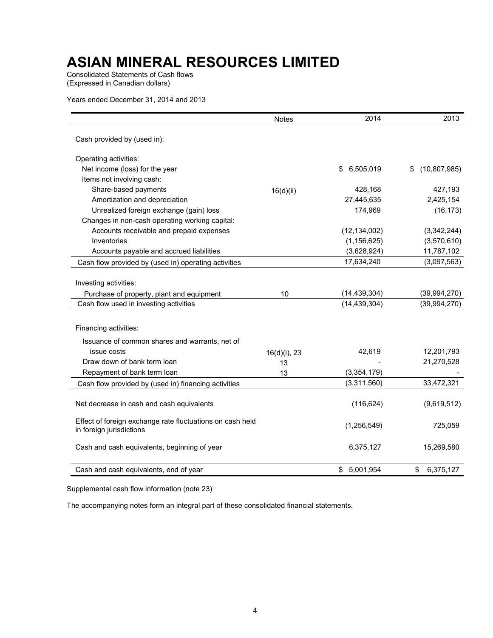Consolidated Statements of Cash flows (Expressed in Canadian dollars)

Years ended December 31, 2014 and 2013

|                                                                                       | <b>Notes</b> | 2014            | 2013                |
|---------------------------------------------------------------------------------------|--------------|-----------------|---------------------|
| Cash provided by (used in):                                                           |              |                 |                     |
| Operating activities:                                                                 |              |                 |                     |
| Net income (loss) for the year                                                        |              | 6,505,019<br>\$ | (10, 807, 985)<br>S |
| Items not involving cash:                                                             |              |                 |                     |
| Share-based payments                                                                  | 16(d)(ii)    | 428,168         | 427,193             |
| Amortization and depreciation                                                         |              | 27,445,635      | 2,425,154           |
| Unrealized foreign exchange (gain) loss                                               |              | 174,969         | (16, 173)           |
| Changes in non-cash operating working capital:                                        |              |                 |                     |
| Accounts receivable and prepaid expenses                                              |              | (12, 134, 002)  | (3,342,244)         |
| Inventories                                                                           |              | (1, 156, 625)   | (3,570,610)         |
| Accounts payable and accrued liabilities                                              |              | (3,628,924)     | 11,787,102          |
| Cash flow provided by (used in) operating activities                                  |              | 17,634,240      | (3,097,563)         |
|                                                                                       |              |                 |                     |
| Investing activities:                                                                 |              |                 |                     |
| Purchase of property, plant and equipment                                             | 10           | (14, 439, 304)  | (39, 994, 270)      |
| Cash flow used in investing activities                                                |              | (14, 439, 304)  | (39, 994, 270)      |
|                                                                                       |              |                 |                     |
| Financing activities:                                                                 |              |                 |                     |
| Issuance of common shares and warrants, net of                                        |              |                 |                     |
| issue costs                                                                           | 16(d)(i), 23 | 42,619          | 12,201,793          |
| Draw down of bank term loan                                                           | 13           |                 | 21,270,528          |
| Repayment of bank term loan                                                           | 13           | (3,354,179)     |                     |
| Cash flow provided by (used in) financing activities                                  |              | (3,311,560)     | 33,472,321          |
|                                                                                       |              |                 |                     |
| Net decrease in cash and cash equivalents                                             |              | (116, 624)      | (9,619,512)         |
| Effect of foreign exchange rate fluctuations on cash held<br>in foreign jurisdictions |              | (1,256,549)     | 725,059             |
| Cash and cash equivalents, beginning of year                                          |              | 6,375,127       | 15,269,580          |
| Cash and cash equivalents, end of year                                                |              | \$5,001,954     | 6,375,127<br>\$     |

Supplemental cash flow information (note 23)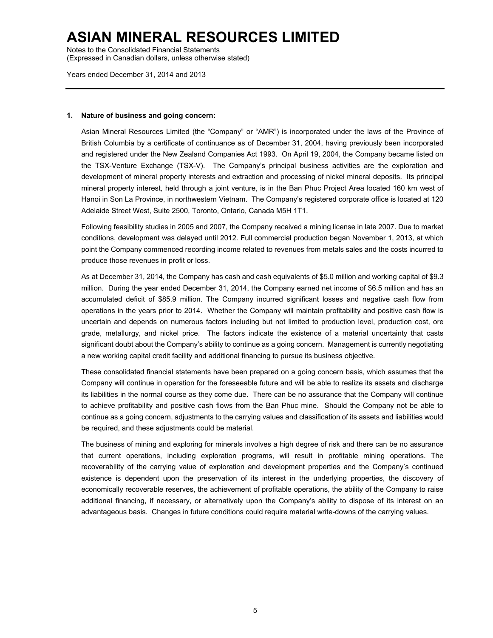Notes to the Consolidated Financial Statements (Expressed in Canadian dollars, unless otherwise stated)

Years ended December 31, 2014 and 2013

### **1. Nature of business and going concern:**

Asian Mineral Resources Limited (the "Company" or "AMR") is incorporated under the laws of the Province of British Columbia by a certificate of continuance as of December 31, 2004, having previously been incorporated and registered under the New Zealand Companies Act 1993. On April 19, 2004, the Company became listed on the TSX-Venture Exchange (TSX-V). The Company's principal business activities are the exploration and development of mineral property interests and extraction and processing of nickel mineral deposits. Its principal mineral property interest, held through a joint venture, is in the Ban Phuc Project Area located 160 km west of Hanoi in Son La Province, in northwestern Vietnam. The Company's registered corporate office is located at 120 Adelaide Street West, Suite 2500, Toronto, Ontario, Canada M5H 1T1.

Following feasibility studies in 2005 and 2007, the Company received a mining license in late 2007. Due to market conditions, development was delayed until 2012. Full commercial production began November 1, 2013, at which point the Company commenced recording income related to revenues from metals sales and the costs incurred to produce those revenues in profit or loss.

As at December 31, 2014, the Company has cash and cash equivalents of \$5.0 million and working capital of \$9.3 million. During the year ended December 31, 2014, the Company earned net income of \$6.5 million and has an accumulated deficit of \$85.9 million. The Company incurred significant losses and negative cash flow from operations in the years prior to 2014. Whether the Company will maintain profitability and positive cash flow is uncertain and depends on numerous factors including but not limited to production level, production cost, ore grade, metallurgy, and nickel price. The factors indicate the existence of a material uncertainty that casts significant doubt about the Company's ability to continue as a going concern. Management is currently negotiating a new working capital credit facility and additional financing to pursue its business objective.

These consolidated financial statements have been prepared on a going concern basis, which assumes that the Company will continue in operation for the foreseeable future and will be able to realize its assets and discharge its liabilities in the normal course as they come due. There can be no assurance that the Company will continue to achieve profitability and positive cash flows from the Ban Phuc mine. Should the Company not be able to continue as a going concern, adjustments to the carrying values and classification of its assets and liabilities would be required, and these adjustments could be material.

The business of mining and exploring for minerals involves a high degree of risk and there can be no assurance that current operations, including exploration programs, will result in profitable mining operations. The recoverability of the carrying value of exploration and development properties and the Company's continued existence is dependent upon the preservation of its interest in the underlying properties, the discovery of economically recoverable reserves, the achievement of profitable operations, the ability of the Company to raise additional financing, if necessary, or alternatively upon the Company's ability to dispose of its interest on an advantageous basis. Changes in future conditions could require material write-downs of the carrying values.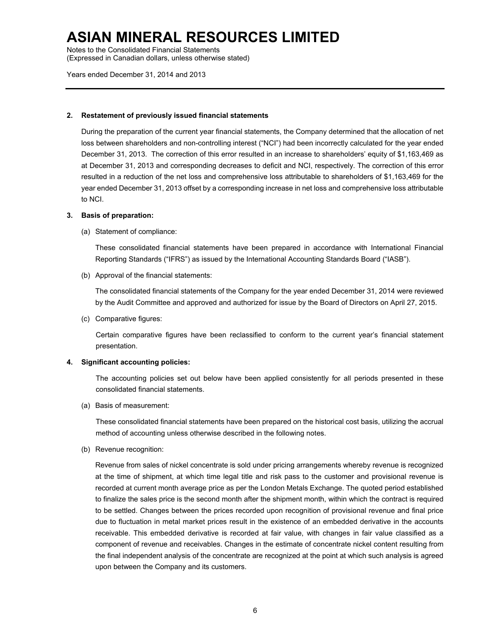Notes to the Consolidated Financial Statements (Expressed in Canadian dollars, unless otherwise stated)

Years ended December 31, 2014 and 2013

### **2. Restatement of previously issued financial statements**

During the preparation of the current year financial statements, the Company determined that the allocation of net loss between shareholders and non-controlling interest ("NCI") had been incorrectly calculated for the year ended December 31, 2013. The correction of this error resulted in an increase to shareholders' equity of \$1,163,469 as at December 31, 2013 and corresponding decreases to deficit and NCI, respectively. The correction of this error resulted in a reduction of the net loss and comprehensive loss attributable to shareholders of \$1,163,469 for the year ended December 31, 2013 offset by a corresponding increase in net loss and comprehensive loss attributable to NCI.

### **3. Basis of preparation:**

(a) Statement of compliance:

These consolidated financial statements have been prepared in accordance with International Financial Reporting Standards ("IFRS") as issued by the International Accounting Standards Board ("IASB").

(b) Approval of the financial statements:

The consolidated financial statements of the Company for the year ended December 31, 2014 were reviewed by the Audit Committee and approved and authorized for issue by the Board of Directors on April 27, 2015.

(c) Comparative figures:

 Certain comparative figures have been reclassified to conform to the current year's financial statement presentation.

## **4. Significant accounting policies:**

The accounting policies set out below have been applied consistently for all periods presented in these consolidated financial statements.

(a) Basis of measurement:

These consolidated financial statements have been prepared on the historical cost basis, utilizing the accrual method of accounting unless otherwise described in the following notes.

(b) Revenue recognition:

Revenue from sales of nickel concentrate is sold under pricing arrangements whereby revenue is recognized at the time of shipment, at which time legal title and risk pass to the customer and provisional revenue is recorded at current month average price as per the London Metals Exchange. The quoted period established to finalize the sales price is the second month after the shipment month, within which the contract is required to be settled. Changes between the prices recorded upon recognition of provisional revenue and final price due to fluctuation in metal market prices result in the existence of an embedded derivative in the accounts receivable. This embedded derivative is recorded at fair value, with changes in fair value classified as a component of revenue and receivables. Changes in the estimate of concentrate nickel content resulting from the final independent analysis of the concentrate are recognized at the point at which such analysis is agreed upon between the Company and its customers.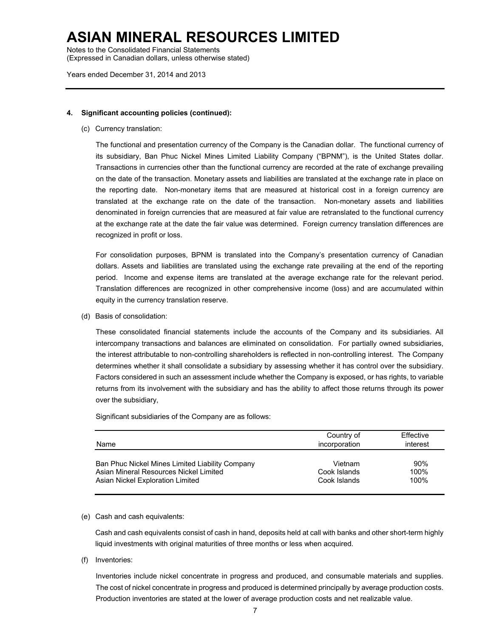Notes to the Consolidated Financial Statements (Expressed in Canadian dollars, unless otherwise stated)

Years ended December 31, 2014 and 2013

### **4. Significant accounting policies (continued):**

(c) Currency translation:

The functional and presentation currency of the Company is the Canadian dollar. The functional currency of its subsidiary, Ban Phuc Nickel Mines Limited Liability Company ("BPNM"), is the United States dollar. Transactions in currencies other than the functional currency are recorded at the rate of exchange prevailing on the date of the transaction. Monetary assets and liabilities are translated at the exchange rate in place on the reporting date. Non-monetary items that are measured at historical cost in a foreign currency are translated at the exchange rate on the date of the transaction. Non-monetary assets and liabilities denominated in foreign currencies that are measured at fair value are retranslated to the functional currency at the exchange rate at the date the fair value was determined. Foreign currency translation differences are recognized in profit or loss.

 For consolidation purposes, BPNM is translated into the Company's presentation currency of Canadian dollars. Assets and liabilities are translated using the exchange rate prevailing at the end of the reporting period. Income and expense items are translated at the average exchange rate for the relevant period. Translation differences are recognized in other comprehensive income (loss) and are accumulated within equity in the currency translation reserve.

(d) Basis of consolidation:

These consolidated financial statements include the accounts of the Company and its subsidiaries. All intercompany transactions and balances are eliminated on consolidation. For partially owned subsidiaries, the interest attributable to non-controlling shareholders is reflected in non-controlling interest. The Company determines whether it shall consolidate a subsidiary by assessing whether it has control over the subsidiary. Factors considered in such an assessment include whether the Company is exposed, or has rights, to variable returns from its involvement with the subsidiary and has the ability to affect those returns through its power over the subsidiary,

Significant subsidiaries of the Company are as follows:

| Name                                            | Country of<br>incorporation | Effective<br>interest |
|-------------------------------------------------|-----------------------------|-----------------------|
| Ban Phuc Nickel Mines Limited Liability Company | Vietnam                     | 90%                   |
| Asian Mineral Resources Nickel Limited          | Cook Islands                | 100%                  |
| Asian Nickel Exploration Limited                | Cook Islands                | 100%                  |

(e) Cash and cash equivalents:

Cash and cash equivalents consist of cash in hand, deposits held at call with banks and other short-term highly liquid investments with original maturities of three months or less when acquired.

(f) Inventories:

Inventories include nickel concentrate in progress and produced, and consumable materials and supplies. The cost of nickel concentrate in progress and produced is determined principally by average production costs. Production inventories are stated at the lower of average production costs and net realizable value.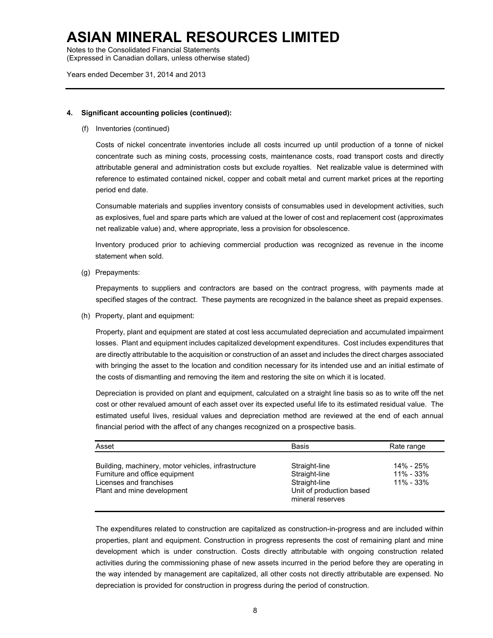Notes to the Consolidated Financial Statements (Expressed in Canadian dollars, unless otherwise stated)

Years ended December 31, 2014 and 2013

### **4. Significant accounting policies (continued):**

(f) Inventories (continued)

Costs of nickel concentrate inventories include all costs incurred up until production of a tonne of nickel concentrate such as mining costs, processing costs, maintenance costs, road transport costs and directly attributable general and administration costs but exclude royalties. Net realizable value is determined with reference to estimated contained nickel, copper and cobalt metal and current market prices at the reporting period end date.

Consumable materials and supplies inventory consists of consumables used in development activities, such as explosives, fuel and spare parts which are valued at the lower of cost and replacement cost (approximates net realizable value) and, where appropriate, less a provision for obsolescence.

Inventory produced prior to achieving commercial production was recognized as revenue in the income statement when sold.

(g) Prepayments:

Prepayments to suppliers and contractors are based on the contract progress, with payments made at specified stages of the contract. These payments are recognized in the balance sheet as prepaid expenses.

(h) Property, plant and equipment:

Property, plant and equipment are stated at cost less accumulated depreciation and accumulated impairment losses. Plant and equipment includes capitalized development expenditures. Cost includes expenditures that are directly attributable to the acquisition or construction of an asset and includes the direct charges associated with bringing the asset to the location and condition necessary for its intended use and an initial estimate of the costs of dismantling and removing the item and restoring the site on which it is located.

Depreciation is provided on plant and equipment, calculated on a straight line basis so as to write off the net cost or other revalued amount of each asset over its expected useful life to its estimated residual value. The estimated useful lives, residual values and depreciation method are reviewed at the end of each annual financial period with the affect of any changes recognized on a prospective basis.

| Asset                                                                                                                                          | <b>Basis</b>                                                                                    | Rate range                                  |
|------------------------------------------------------------------------------------------------------------------------------------------------|-------------------------------------------------------------------------------------------------|---------------------------------------------|
| Building, machinery, motor vehicles, infrastructure<br>Furniture and office equipment<br>Licenses and franchises<br>Plant and mine development | Straight-line<br>Straight-line<br>Straight-line<br>Unit of production based<br>mineral reserves | 14% - 25%<br>$11\% - 33\%$<br>$11\% - 33\%$ |

The expenditures related to construction are capitalized as construction-in-progress and are included within properties, plant and equipment. Construction in progress represents the cost of remaining plant and mine development which is under construction. Costs directly attributable with ongoing construction related activities during the commissioning phase of new assets incurred in the period before they are operating in the way intended by management are capitalized, all other costs not directly attributable are expensed. No depreciation is provided for construction in progress during the period of construction.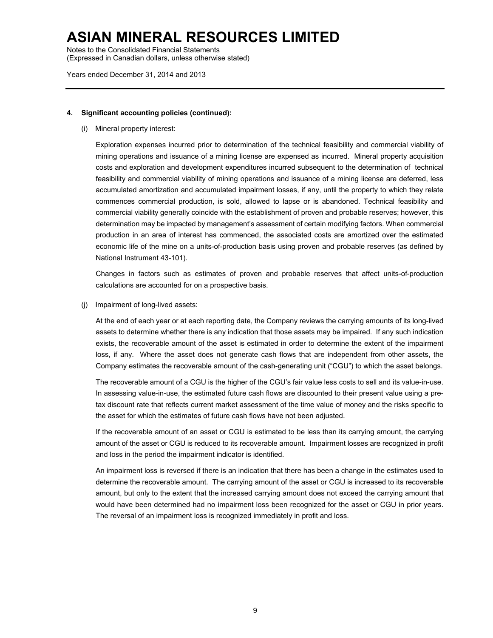Notes to the Consolidated Financial Statements (Expressed in Canadian dollars, unless otherwise stated)

Years ended December 31, 2014 and 2013

### **4. Significant accounting policies (continued):**

(i) Mineral property interest:

Exploration expenses incurred prior to determination of the technical feasibility and commercial viability of mining operations and issuance of a mining license are expensed as incurred. Mineral property acquisition costs and exploration and development expenditures incurred subsequent to the determination of technical feasibility and commercial viability of mining operations and issuance of a mining license are deferred, less accumulated amortization and accumulated impairment losses, if any, until the property to which they relate commences commercial production, is sold, allowed to lapse or is abandoned. Technical feasibility and commercial viability generally coincide with the establishment of proven and probable reserves; however, this determination may be impacted by management's assessment of certain modifying factors. When commercial production in an area of interest has commenced, the associated costs are amortized over the estimated economic life of the mine on a units-of-production basis using proven and probable reserves (as defined by National Instrument 43-101).

Changes in factors such as estimates of proven and probable reserves that affect units-of-production calculations are accounted for on a prospective basis.

(j) Impairment of long-lived assets:

At the end of each year or at each reporting date, the Company reviews the carrying amounts of its long-lived assets to determine whether there is any indication that those assets may be impaired. If any such indication exists, the recoverable amount of the asset is estimated in order to determine the extent of the impairment loss, if any. Where the asset does not generate cash flows that are independent from other assets, the Company estimates the recoverable amount of the cash-generating unit ("CGU") to which the asset belongs.

The recoverable amount of a CGU is the higher of the CGU's fair value less costs to sell and its value-in-use. In assessing value-in-use, the estimated future cash flows are discounted to their present value using a pretax discount rate that reflects current market assessment of the time value of money and the risks specific to the asset for which the estimates of future cash flows have not been adjusted.

If the recoverable amount of an asset or CGU is estimated to be less than its carrying amount, the carrying amount of the asset or CGU is reduced to its recoverable amount. Impairment losses are recognized in profit and loss in the period the impairment indicator is identified.

An impairment loss is reversed if there is an indication that there has been a change in the estimates used to determine the recoverable amount. The carrying amount of the asset or CGU is increased to its recoverable amount, but only to the extent that the increased carrying amount does not exceed the carrying amount that would have been determined had no impairment loss been recognized for the asset or CGU in prior years. The reversal of an impairment loss is recognized immediately in profit and loss.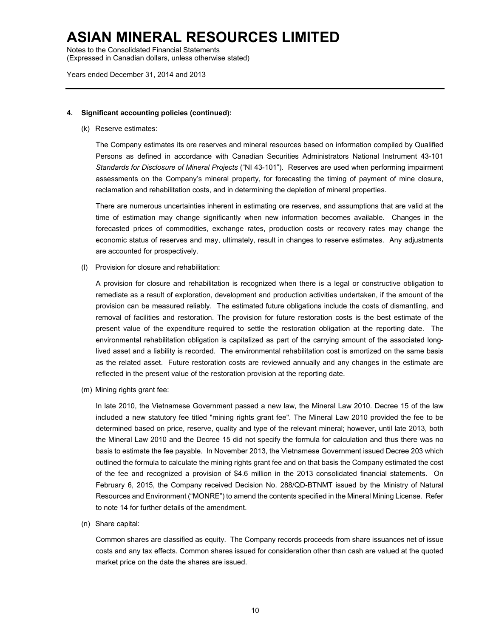Notes to the Consolidated Financial Statements (Expressed in Canadian dollars, unless otherwise stated)

Years ended December 31, 2014 and 2013

### **4. Significant accounting policies (continued):**

(k) Reserve estimates:

The Company estimates its ore reserves and mineral resources based on information compiled by Qualified Persons as defined in accordance with Canadian Securities Administrators National Instrument 43-101 *Standards for Disclosure of Mineral Projects* ("NI 43-101"). Reserves are used when performing impairment assessments on the Company's mineral property, for forecasting the timing of payment of mine closure, reclamation and rehabilitation costs, and in determining the depletion of mineral properties.

There are numerous uncertainties inherent in estimating ore reserves, and assumptions that are valid at the time of estimation may change significantly when new information becomes available. Changes in the forecasted prices of commodities, exchange rates, production costs or recovery rates may change the economic status of reserves and may, ultimately, result in changes to reserve estimates. Any adjustments are accounted for prospectively.

(l) Provision for closure and rehabilitation:

A provision for closure and rehabilitation is recognized when there is a legal or constructive obligation to remediate as a result of exploration, development and production activities undertaken, if the amount of the provision can be measured reliably. The estimated future obligations include the costs of dismantling, and removal of facilities and restoration. The provision for future restoration costs is the best estimate of the present value of the expenditure required to settle the restoration obligation at the reporting date. The environmental rehabilitation obligation is capitalized as part of the carrying amount of the associated longlived asset and a liability is recorded. The environmental rehabilitation cost is amortized on the same basis as the related asset. Future restoration costs are reviewed annually and any changes in the estimate are reflected in the present value of the restoration provision at the reporting date.

(m) Mining rights grant fee:

 In late 2010, the Vietnamese Government passed a new law, the Mineral Law 2010. Decree 15 of the law included a new statutory fee titled "mining rights grant fee". The Mineral Law 2010 provided the fee to be determined based on price, reserve, quality and type of the relevant mineral; however, until late 2013, both the Mineral Law 2010 and the Decree 15 did not specify the formula for calculation and thus there was no basis to estimate the fee payable. In November 2013, the Vietnamese Government issued Decree 203 which outlined the formula to calculate the mining rights grant fee and on that basis the Company estimated the cost of the fee and recognized a provision of \$4.6 million in the 2013 consolidated financial statements. On February 6, 2015, the Company received Decision No. 288/QD-BTNMT issued by the Ministry of Natural Resources and Environment ("MONRE") to amend the contents specified in the Mineral Mining License. Refer to note 14 for further details of the amendment.

(n) Share capital:

Common shares are classified as equity. The Company records proceeds from share issuances net of issue costs and any tax effects. Common shares issued for consideration other than cash are valued at the quoted market price on the date the shares are issued.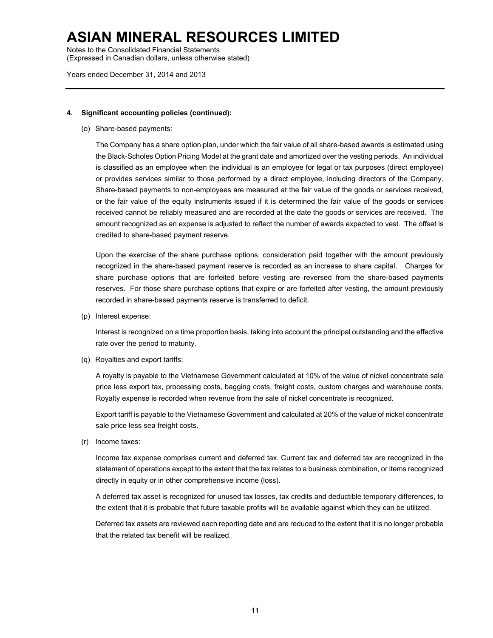Notes to the Consolidated Financial Statements (Expressed in Canadian dollars, unless otherwise stated)

Years ended December 31, 2014 and 2013

### **4. Significant accounting policies (continued):**

(o) Share-based payments:

The Company has a share option plan, under which the fair value of all share-based awards is estimated using the Black-Scholes Option Pricing Model at the grant date and amortized over the vesting periods. An individual is classified as an employee when the individual is an employee for legal or tax purposes (direct employee) or provides services similar to those performed by a direct employee, including directors of the Company. Share-based payments to non-employees are measured at the fair value of the goods or services received, or the fair value of the equity instruments issued if it is determined the fair value of the goods or services received cannot be reliably measured and are recorded at the date the goods or services are received. The amount recognized as an expense is adjusted to reflect the number of awards expected to vest. The offset is credited to share-based payment reserve.

Upon the exercise of the share purchase options, consideration paid together with the amount previously recognized in the share-based payment reserve is recorded as an increase to share capital. Charges for share purchase options that are forfeited before vesting are reversed from the share-based payments reserves. For those share purchase options that expire or are forfeited after vesting, the amount previously recorded in share-based payments reserve is transferred to deficit.

(p) Interest expense:

Interest is recognized on a time proportion basis, taking into account the principal outstanding and the effective rate over the period to maturity.

(q) Royalties and export tariffs:

A royalty is payable to the Vietnamese Government calculated at 10% of the value of nickel concentrate sale price less export tax, processing costs, bagging costs, freight costs, custom charges and warehouse costs. Royalty expense is recorded when revenue from the sale of nickel concentrate is recognized.

Export tariff is payable to the Vietnamese Government and calculated at 20% of the value of nickel concentrate sale price less sea freight costs.

(r) Income taxes:

Income tax expense comprises current and deferred tax. Current tax and deferred tax are recognized in the statement of operations except to the extent that the tax relates to a business combination, or items recognized directly in equity or in other comprehensive income (loss).

A deferred tax asset is recognized for unused tax losses, tax credits and deductible temporary differences, to the extent that it is probable that future taxable profits will be available against which they can be utilized.

Deferred tax assets are reviewed each reporting date and are reduced to the extent that it is no longer probable that the related tax benefit will be realized.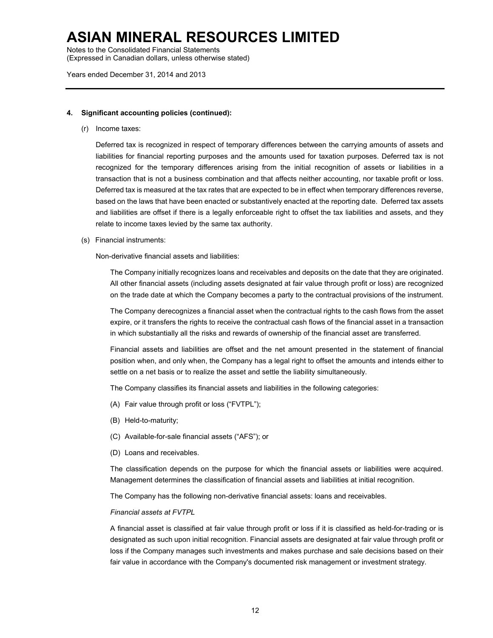Notes to the Consolidated Financial Statements (Expressed in Canadian dollars, unless otherwise stated)

Years ended December 31, 2014 and 2013

### **4. Significant accounting policies (continued):**

(r) Income taxes:

Deferred tax is recognized in respect of temporary differences between the carrying amounts of assets and liabilities for financial reporting purposes and the amounts used for taxation purposes. Deferred tax is not recognized for the temporary differences arising from the initial recognition of assets or liabilities in a transaction that is not a business combination and that affects neither accounting, nor taxable profit or loss. Deferred tax is measured at the tax rates that are expected to be in effect when temporary differences reverse, based on the laws that have been enacted or substantively enacted at the reporting date. Deferred tax assets and liabilities are offset if there is a legally enforceable right to offset the tax liabilities and assets, and they relate to income taxes levied by the same tax authority.

(s) Financial instruments:

Non-derivative financial assets and liabilities:

The Company initially recognizes loans and receivables and deposits on the date that they are originated. All other financial assets (including assets designated at fair value through profit or loss) are recognized on the trade date at which the Company becomes a party to the contractual provisions of the instrument.

The Company derecognizes a financial asset when the contractual rights to the cash flows from the asset expire, or it transfers the rights to receive the contractual cash flows of the financial asset in a transaction in which substantially all the risks and rewards of ownership of the financial asset are transferred.

Financial assets and liabilities are offset and the net amount presented in the statement of financial position when, and only when, the Company has a legal right to offset the amounts and intends either to settle on a net basis or to realize the asset and settle the liability simultaneously.

The Company classifies its financial assets and liabilities in the following categories:

- (A) Fair value through profit or loss ("FVTPL");
- (B) Held-to-maturity;
- (C) Available-for-sale financial assets ("AFS"); or
- (D) Loans and receivables.

The classification depends on the purpose for which the financial assets or liabilities were acquired. Management determines the classification of financial assets and liabilities at initial recognition.

The Company has the following non-derivative financial assets: loans and receivables.

#### *Financial assets at FVTPL*

A financial asset is classified at fair value through profit or loss if it is classified as held-for-trading or is designated as such upon initial recognition. Financial assets are designated at fair value through profit or loss if the Company manages such investments and makes purchase and sale decisions based on their fair value in accordance with the Company's documented risk management or investment strategy.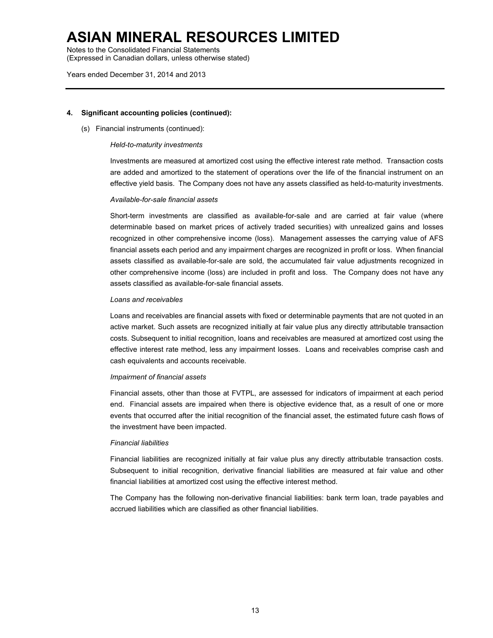Notes to the Consolidated Financial Statements (Expressed in Canadian dollars, unless otherwise stated)

Years ended December 31, 2014 and 2013

### **4. Significant accounting policies (continued):**

(s) Financial instruments (continued):

### *Held-to-maturity investments*

Investments are measured at amortized cost using the effective interest rate method. Transaction costs are added and amortized to the statement of operations over the life of the financial instrument on an effective yield basis. The Company does not have any assets classified as held-to-maturity investments.

#### *Available-for-sale financial assets*

Short-term investments are classified as available-for-sale and are carried at fair value (where determinable based on market prices of actively traded securities) with unrealized gains and losses recognized in other comprehensive income (loss). Management assesses the carrying value of AFS financial assets each period and any impairment charges are recognized in profit or loss. When financial assets classified as available-for-sale are sold, the accumulated fair value adjustments recognized in other comprehensive income (loss) are included in profit and loss. The Company does not have any assets classified as available-for-sale financial assets.

### *Loans and receivables*

Loans and receivables are financial assets with fixed or determinable payments that are not quoted in an active market. Such assets are recognized initially at fair value plus any directly attributable transaction costs. Subsequent to initial recognition, loans and receivables are measured at amortized cost using the effective interest rate method, less any impairment losses. Loans and receivables comprise cash and cash equivalents and accounts receivable.

#### *Impairment of financial assets*

Financial assets, other than those at FVTPL, are assessed for indicators of impairment at each period end. Financial assets are impaired when there is objective evidence that, as a result of one or more events that occurred after the initial recognition of the financial asset, the estimated future cash flows of the investment have been impacted.

#### *Financial liabilities*

Financial liabilities are recognized initially at fair value plus any directly attributable transaction costs. Subsequent to initial recognition, derivative financial liabilities are measured at fair value and other financial liabilities at amortized cost using the effective interest method.

The Company has the following non-derivative financial liabilities: bank term loan, trade payables and accrued liabilities which are classified as other financial liabilities.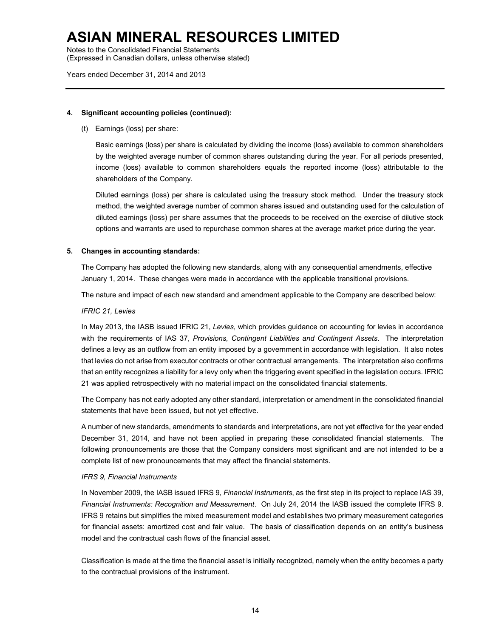Notes to the Consolidated Financial Statements (Expressed in Canadian dollars, unless otherwise stated)

Years ended December 31, 2014 and 2013

### **4. Significant accounting policies (continued):**

(t) Earnings (loss) per share:

Basic earnings (loss) per share is calculated by dividing the income (loss) available to common shareholders by the weighted average number of common shares outstanding during the year. For all periods presented, income (loss) available to common shareholders equals the reported income (loss) attributable to the shareholders of the Company.

Diluted earnings (loss) per share is calculated using the treasury stock method. Under the treasury stock method, the weighted average number of common shares issued and outstanding used for the calculation of diluted earnings (loss) per share assumes that the proceeds to be received on the exercise of dilutive stock options and warrants are used to repurchase common shares at the average market price during the year.

## **5. Changes in accounting standards:**

The Company has adopted the following new standards, along with any consequential amendments, effective January 1, 2014. These changes were made in accordance with the applicable transitional provisions.

The nature and impact of each new standard and amendment applicable to the Company are described below:

### *IFRIC 21, Levies*

In May 2013, the IASB issued IFRIC 21, *Levies*, which provides guidance on accounting for levies in accordance with the requirements of IAS 37, *Provisions, Contingent Liabilities and Contingent Assets*. The interpretation defines a levy as an outflow from an entity imposed by a government in accordance with legislation. It also notes that levies do not arise from executor contracts or other contractual arrangements. The interpretation also confirms that an entity recognizes a liability for a levy only when the triggering event specified in the legislation occurs. IFRIC 21 was applied retrospectively with no material impact on the consolidated financial statements.

The Company has not early adopted any other standard, interpretation or amendment in the consolidated financial statements that have been issued, but not yet effective.

A number of new standards, amendments to standards and interpretations, are not yet effective for the year ended December 31, 2014, and have not been applied in preparing these consolidated financial statements. The following pronouncements are those that the Company considers most significant and are not intended to be a complete list of new pronouncements that may affect the financial statements.

#### *IFRS 9, Financial Instruments*

In November 2009, the IASB issued IFRS 9, *Financial Instruments*, as the first step in its project to replace IAS 39, *Financial Instruments: Recognition and Measurement*. On July 24, 2014 the IASB issued the complete IFRS 9. IFRS 9 retains but simplifies the mixed measurement model and establishes two primary measurement categories for financial assets: amortized cost and fair value. The basis of classification depends on an entity's business model and the contractual cash flows of the financial asset.

Classification is made at the time the financial asset is initially recognized, namely when the entity becomes a party to the contractual provisions of the instrument.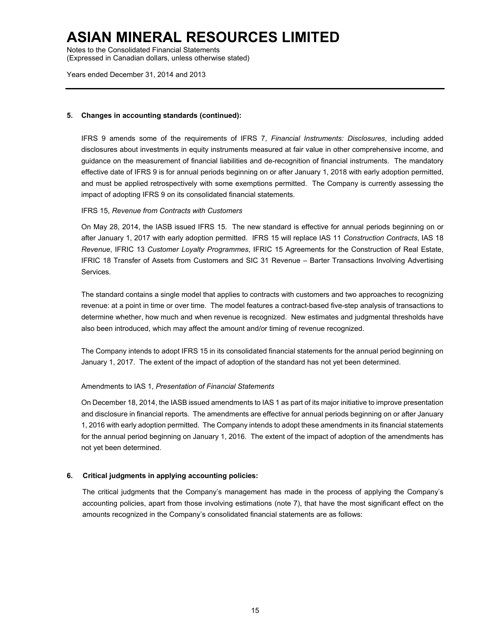Notes to the Consolidated Financial Statements (Expressed in Canadian dollars, unless otherwise stated)

Years ended December 31, 2014 and 2013

## **5. Changes in accounting standards (continued):**

IFRS 9 amends some of the requirements of IFRS 7, *Financial Instruments: Disclosures*, including added disclosures about investments in equity instruments measured at fair value in other comprehensive income, and guidance on the measurement of financial liabilities and de-recognition of financial instruments. The mandatory effective date of IFRS 9 is for annual periods beginning on or after January 1, 2018 with early adoption permitted, and must be applied retrospectively with some exemptions permitted. The Company is currently assessing the impact of adopting IFRS 9 on its consolidated financial statements.

## IFRS 15, *Revenue from Contracts with Customers*

On May 28, 2014, the IASB issued IFRS 15. The new standard is effective for annual periods beginning on or after January 1, 2017 with early adoption permitted. IFRS 15 will replace IAS 11 *Construction Contracts*, IAS 18 *Revenue*, IFRIC 13 *Customer Loyalty Programmes*, IFRIC 15 Agreements for the Construction of Real Estate, IFRIC 18 Transfer of Assets from Customers and SIC 31 Revenue – Barter Transactions Involving Advertising Services.

The standard contains a single model that applies to contracts with customers and two approaches to recognizing revenue: at a point in time or over time. The model features a contract-based five-step analysis of transactions to determine whether, how much and when revenue is recognized. New estimates and judgmental thresholds have also been introduced, which may affect the amount and/or timing of revenue recognized.

The Company intends to adopt IFRS 15 in its consolidated financial statements for the annual period beginning on January 1, 2017. The extent of the impact of adoption of the standard has not yet been determined.

## Amendments to IAS 1, *Presentation of Financial Statements*

On December 18, 2014, the IASB issued amendments to IAS 1 as part of its major initiative to improve presentation and disclosure in financial reports. The amendments are effective for annual periods beginning on or after January 1, 2016 with early adoption permitted. The Company intends to adopt these amendments in its financial statements for the annual period beginning on January 1, 2016. The extent of the impact of adoption of the amendments has not yet been determined.

## **6. Critical judgments in applying accounting policies:**

The critical judgments that the Company's management has made in the process of applying the Company's accounting policies, apart from those involving estimations (note 7), that have the most significant effect on the amounts recognized in the Company's consolidated financial statements are as follows: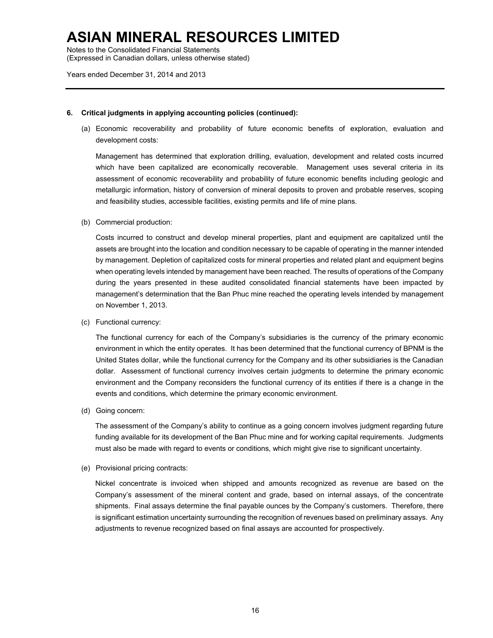Notes to the Consolidated Financial Statements (Expressed in Canadian dollars, unless otherwise stated)

Years ended December 31, 2014 and 2013

### **6. Critical judgments in applying accounting policies (continued):**

(a) Economic recoverability and probability of future economic benefits of exploration, evaluation and development costs:

Management has determined that exploration drilling, evaluation, development and related costs incurred which have been capitalized are economically recoverable. Management uses several criteria in its assessment of economic recoverability and probability of future economic benefits including geologic and metallurgic information, history of conversion of mineral deposits to proven and probable reserves, scoping and feasibility studies, accessible facilities, existing permits and life of mine plans.

(b) Commercial production:

Costs incurred to construct and develop mineral properties, plant and equipment are capitalized until the assets are brought into the location and condition necessary to be capable of operating in the manner intended by management. Depletion of capitalized costs for mineral properties and related plant and equipment begins when operating levels intended by management have been reached. The results of operations of the Company during the years presented in these audited consolidated financial statements have been impacted by management's determination that the Ban Phuc mine reached the operating levels intended by management on November 1, 2013.

(c) Functional currency:

The functional currency for each of the Company's subsidiaries is the currency of the primary economic environment in which the entity operates. It has been determined that the functional currency of BPNM is the United States dollar, while the functional currency for the Company and its other subsidiaries is the Canadian dollar. Assessment of functional currency involves certain judgments to determine the primary economic environment and the Company reconsiders the functional currency of its entities if there is a change in the events and conditions, which determine the primary economic environment.

(d) Going concern:

The assessment of the Company's ability to continue as a going concern involves judgment regarding future funding available for its development of the Ban Phuc mine and for working capital requirements. Judgments must also be made with regard to events or conditions, which might give rise to significant uncertainty.

(e) Provisional pricing contracts:

Nickel concentrate is invoiced when shipped and amounts recognized as revenue are based on the Company's assessment of the mineral content and grade, based on internal assays, of the concentrate shipments. Final assays determine the final payable ounces by the Company's customers. Therefore, there is significant estimation uncertainty surrounding the recognition of revenues based on preliminary assays. Any adjustments to revenue recognized based on final assays are accounted for prospectively.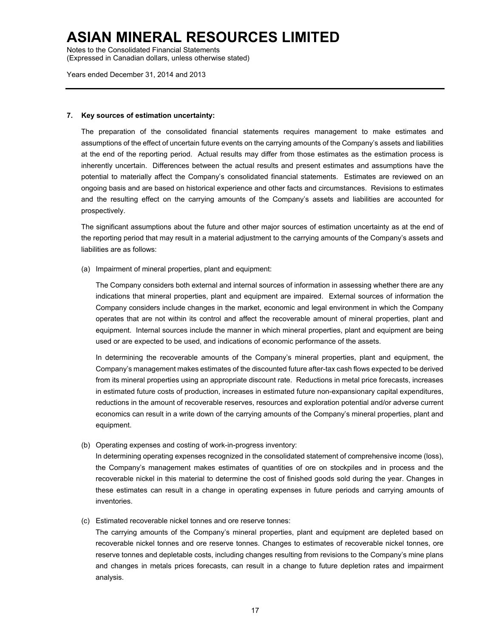Notes to the Consolidated Financial Statements (Expressed in Canadian dollars, unless otherwise stated)

Years ended December 31, 2014 and 2013

### **7. Key sources of estimation uncertainty:**

The preparation of the consolidated financial statements requires management to make estimates and assumptions of the effect of uncertain future events on the carrying amounts of the Company's assets and liabilities at the end of the reporting period. Actual results may differ from those estimates as the estimation process is inherently uncertain. Differences between the actual results and present estimates and assumptions have the potential to materially affect the Company's consolidated financial statements. Estimates are reviewed on an ongoing basis and are based on historical experience and other facts and circumstances. Revisions to estimates and the resulting effect on the carrying amounts of the Company's assets and liabilities are accounted for prospectively.

The significant assumptions about the future and other major sources of estimation uncertainty as at the end of the reporting period that may result in a material adjustment to the carrying amounts of the Company's assets and liabilities are as follows:

(a) Impairment of mineral properties, plant and equipment:

The Company considers both external and internal sources of information in assessing whether there are any indications that mineral properties, plant and equipment are impaired. External sources of information the Company considers include changes in the market, economic and legal environment in which the Company operates that are not within its control and affect the recoverable amount of mineral properties, plant and equipment. Internal sources include the manner in which mineral properties, plant and equipment are being used or are expected to be used, and indications of economic performance of the assets.

In determining the recoverable amounts of the Company's mineral properties, plant and equipment, the Company's management makes estimates of the discounted future after-tax cash flows expected to be derived from its mineral properties using an appropriate discount rate. Reductions in metal price forecasts, increases in estimated future costs of production, increases in estimated future non-expansionary capital expenditures, reductions in the amount of recoverable reserves, resources and exploration potential and/or adverse current economics can result in a write down of the carrying amounts of the Company's mineral properties, plant and equipment.

(b) Operating expenses and costing of work-in-progress inventory:

In determining operating expenses recognized in the consolidated statement of comprehensive income (loss), the Company's management makes estimates of quantities of ore on stockpiles and in process and the recoverable nickel in this material to determine the cost of finished goods sold during the year. Changes in these estimates can result in a change in operating expenses in future periods and carrying amounts of inventories.

(c) Estimated recoverable nickel tonnes and ore reserve tonnes:

The carrying amounts of the Company's mineral properties, plant and equipment are depleted based on recoverable nickel tonnes and ore reserve tonnes. Changes to estimates of recoverable nickel tonnes, ore reserve tonnes and depletable costs, including changes resulting from revisions to the Company's mine plans and changes in metals prices forecasts, can result in a change to future depletion rates and impairment analysis.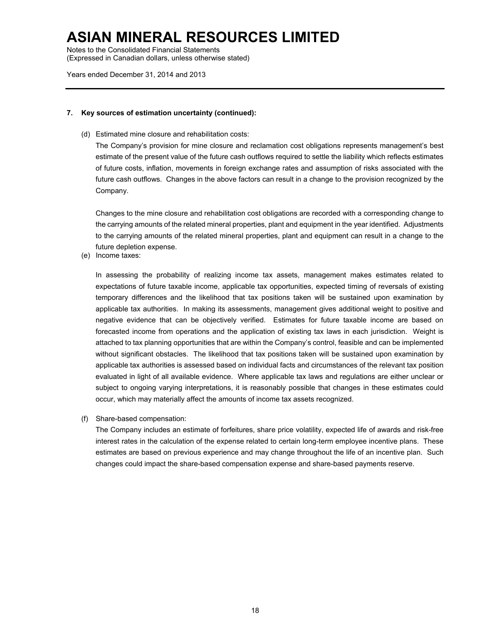Notes to the Consolidated Financial Statements (Expressed in Canadian dollars, unless otherwise stated)

Years ended December 31, 2014 and 2013

### **7. Key sources of estimation uncertainty (continued):**

(d) Estimated mine closure and rehabilitation costs:

The Company's provision for mine closure and reclamation cost obligations represents management's best estimate of the present value of the future cash outflows required to settle the liability which reflects estimates of future costs, inflation, movements in foreign exchange rates and assumption of risks associated with the future cash outflows. Changes in the above factors can result in a change to the provision recognized by the Company.

Changes to the mine closure and rehabilitation cost obligations are recorded with a corresponding change to the carrying amounts of the related mineral properties, plant and equipment in the year identified. Adjustments to the carrying amounts of the related mineral properties, plant and equipment can result in a change to the future depletion expense.

(e) Income taxes:

In assessing the probability of realizing income tax assets, management makes estimates related to expectations of future taxable income, applicable tax opportunities, expected timing of reversals of existing temporary differences and the likelihood that tax positions taken will be sustained upon examination by applicable tax authorities. In making its assessments, management gives additional weight to positive and negative evidence that can be objectively verified. Estimates for future taxable income are based on forecasted income from operations and the application of existing tax laws in each jurisdiction. Weight is attached to tax planning opportunities that are within the Company's control, feasible and can be implemented without significant obstacles. The likelihood that tax positions taken will be sustained upon examination by applicable tax authorities is assessed based on individual facts and circumstances of the relevant tax position evaluated in light of all available evidence. Where applicable tax laws and regulations are either unclear or subject to ongoing varying interpretations, it is reasonably possible that changes in these estimates could occur, which may materially affect the amounts of income tax assets recognized.

(f) Share-based compensation:

The Company includes an estimate of forfeitures, share price volatility, expected life of awards and risk-free interest rates in the calculation of the expense related to certain long-term employee incentive plans. These estimates are based on previous experience and may change throughout the life of an incentive plan. Such changes could impact the share-based compensation expense and share-based payments reserve.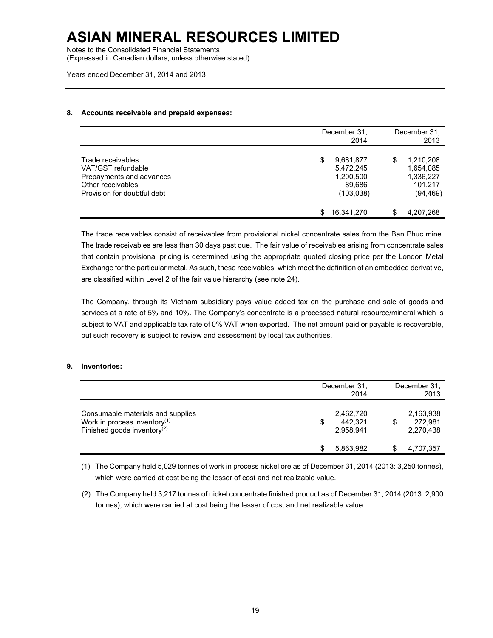Notes to the Consolidated Financial Statements (Expressed in Canadian dollars, unless otherwise stated)

Years ended December 31, 2014 and 2013

### **8. Accounts receivable and prepaid expenses:**

|                                                                                                                         |    | December 31,<br>2014                                        |    |                                                             |
|-------------------------------------------------------------------------------------------------------------------------|----|-------------------------------------------------------------|----|-------------------------------------------------------------|
| Trade receivables<br>VAT/GST refundable<br>Prepayments and advances<br>Other receivables<br>Provision for doubtful debt | S  | 9,681,877<br>5,472,245<br>1,200,500<br>89,686<br>(103, 038) | S  | 1,210,208<br>1,654,085<br>1,336,227<br>101,217<br>(94, 469) |
|                                                                                                                         | S. | 16,341,270                                                  | \$ | 4,207,268                                                   |

The trade receivables consist of receivables from provisional nickel concentrate sales from the Ban Phuc mine. The trade receivables are less than 30 days past due. The fair value of receivables arising from concentrate sales that contain provisional pricing is determined using the appropriate quoted closing price per the London Metal Exchange for the particular metal. As such, these receivables, which meet the definition of an embedded derivative, are classified within Level 2 of the fair value hierarchy (see note 24).

The Company, through its Vietnam subsidiary pays value added tax on the purchase and sale of goods and services at a rate of 5% and 10%. The Company's concentrate is a processed natural resource/mineral which is subject to VAT and applicable tax rate of 0% VAT when exported. The net amount paid or payable is recoverable, but such recovery is subject to review and assessment by local tax authorities.

## **9. Inventories:**

|                                                                                                        | December 31.<br>2014                   | December 31.<br>2013              |
|--------------------------------------------------------------------------------------------------------|----------------------------------------|-----------------------------------|
| Consumable materials and supplies<br>Work in process inventory $(1)$<br>Finished goods inventory $(2)$ | 2,462,720<br>442.321<br>S<br>2.958.941 | 2,163,938<br>272.981<br>2,270,438 |
|                                                                                                        | 5,863,982                              | 4,707,357                         |

(1) The Company held 5,029 tonnes of work in process nickel ore as of December 31, 2014 (2013: 3,250 tonnes), which were carried at cost being the lesser of cost and net realizable value.

(2) The Company held 3,217 tonnes of nickel concentrate finished product as of December 31, 2014 (2013: 2,900 tonnes), which were carried at cost being the lesser of cost and net realizable value.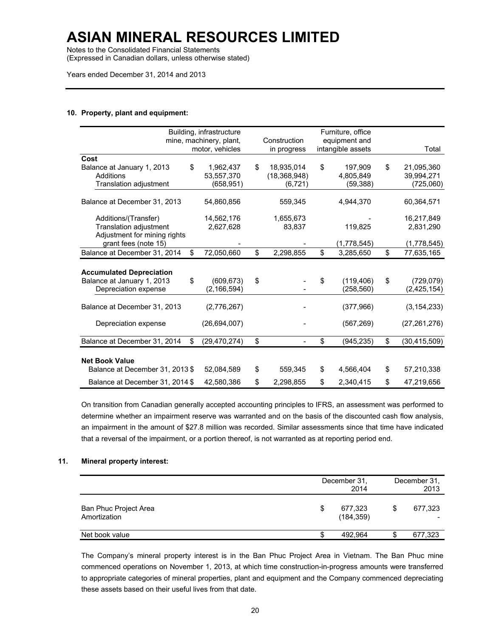Notes to the Consolidated Financial Statements (Expressed in Canadian dollars, unless otherwise stated)

Years ended December 31, 2014 and 2013

#### **10. Property, plant and equipment:**

|                                                                                             | Building, infrastructure<br>mine, machinery, plant,<br>motor, vehicles | Construction<br>in progress |                                          | Furniture, office<br>equipment and<br>intangible assets | Total                                       |
|---------------------------------------------------------------------------------------------|------------------------------------------------------------------------|-----------------------------|------------------------------------------|---------------------------------------------------------|---------------------------------------------|
|                                                                                             |                                                                        |                             |                                          |                                                         |                                             |
| Cost<br>Balance at January 1, 2013<br>\$<br>Additions<br>Translation adjustment             | 1,962,437<br>53,557,370<br>(658,951)                                   | \$                          | 18.935.014<br>(18, 368, 948)<br>(6, 721) | \$<br>197.909<br>4,805,849<br>(59, 388)                 | \$<br>21.095.360<br>39,994,271<br>(725,060) |
| Balance at December 31, 2013                                                                | 54.860.856                                                             |                             | 559,345                                  | 4,944,370                                               | 60,364,571                                  |
| Additions/(Transfer)<br>Translation adjustment<br>Adjustment for mining rights              | 14,562,176<br>2,627,628                                                |                             | 1,655,673<br>83,837                      | 119,825                                                 | 16,217,849<br>2,831,290                     |
| grant fees (note 15)                                                                        |                                                                        |                             |                                          | (1,778,545)                                             | (1,778,545)                                 |
| Balance at December 31, 2014<br>\$                                                          | 72,050,660                                                             | \$                          | 2,298,855                                | \$<br>3,285,650                                         | \$<br>77,635,165                            |
| <b>Accumulated Depreciation</b><br>Balance at January 1, 2013<br>\$<br>Depreciation expense | (609, 673)<br>(2, 166, 594)                                            | \$                          |                                          | \$<br>(119, 406)<br>(258,560)                           | \$<br>(729, 079)<br>(2,425,154)             |
| Balance at December 31, 2013                                                                | (2,776,267)                                                            |                             |                                          | (377, 966)                                              | (3, 154, 233)                               |
| Depreciation expense                                                                        | (26, 694, 007)                                                         |                             |                                          | (567, 269)                                              | (27, 261, 276)                              |
| Balance at December 31, 2014<br>\$                                                          | (29, 470, 274)                                                         | \$                          |                                          | \$<br>(945, 235)                                        | \$<br>(30, 415, 509)                        |
| <b>Net Book Value</b><br>Balance at December 31, 2013 \$                                    | 52,084,589                                                             | \$                          | 559,345                                  | \$<br>4,566,404                                         | \$<br>57,210,338                            |
| Balance at December 31, 2014 \$                                                             | 42,580,386                                                             | \$                          | 2,298,855                                | \$<br>2,340,415                                         | \$<br>47,219,656                            |

On transition from Canadian generally accepted accounting principles to IFRS, an assessment was performed to determine whether an impairment reserve was warranted and on the basis of the discounted cash flow analysis, an impairment in the amount of \$27.8 million was recorded. Similar assessments since that time have indicated that a reversal of the impairment, or a portion thereof, is not warranted as at reporting period end.

## **11. Mineral property interest:**

|                                       | December 31. | December 31,<br>2013  |  |         |
|---------------------------------------|--------------|-----------------------|--|---------|
| Ban Phuc Project Area<br>Amortization | \$           | 677,323<br>(184, 359) |  | 677,323 |
| Net book value                        |              | 492.964               |  | 677,323 |

The Company's mineral property interest is in the Ban Phuc Project Area in Vietnam. The Ban Phuc mine commenced operations on November 1, 2013, at which time construction-in-progress amounts were transferred to appropriate categories of mineral properties, plant and equipment and the Company commenced depreciating these assets based on their useful lives from that date.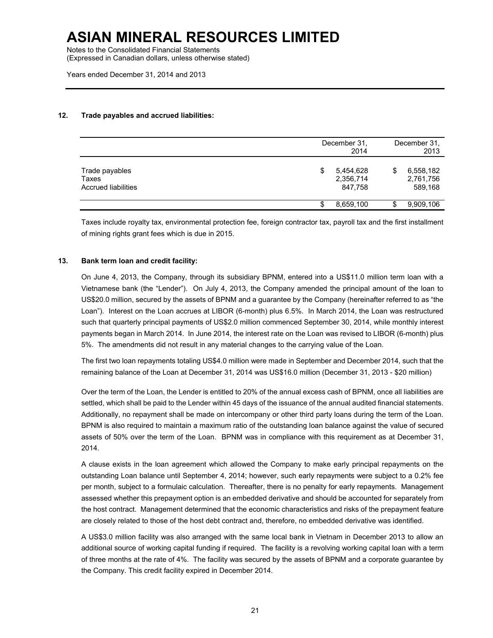Notes to the Consolidated Financial Statements (Expressed in Canadian dollars, unless otherwise stated)

Years ended December 31, 2014 and 2013

### **12. Trade payables and accrued liabilities:**

|                                                       | December 31,<br>2014                    | December 31.<br>2013                    |
|-------------------------------------------------------|-----------------------------------------|-----------------------------------------|
| Trade payables<br>Taxes<br><b>Accrued liabilities</b> | 5,454,628<br>\$<br>2,356,714<br>847,758 | \$<br>6,558,182<br>2,761,756<br>589,168 |
|                                                       | 8,659,100                               | 9,909,106                               |

Taxes include royalty tax, environmental protection fee, foreign contractor tax, payroll tax and the first installment of mining rights grant fees which is due in 2015.

### **13. Bank term loan and credit facility:**

On June 4, 2013, the Company, through its subsidiary BPNM, entered into a US\$11.0 million term loan with a Vietnamese bank (the "Lender"). On July 4, 2013, the Company amended the principal amount of the loan to US\$20.0 million, secured by the assets of BPNM and a guarantee by the Company (hereinafter referred to as "the Loan"). Interest on the Loan accrues at LIBOR (6-month) plus 6.5%. In March 2014, the Loan was restructured such that quarterly principal payments of US\$2.0 million commenced September 30, 2014, while monthly interest payments began in March 2014. In June 2014, the interest rate on the Loan was revised to LIBOR (6-month) plus 5%. The amendments did not result in any material changes to the carrying value of the Loan.

The first two loan repayments totaling US\$4.0 million were made in September and December 2014, such that the remaining balance of the Loan at December 31, 2014 was US\$16.0 million (December 31, 2013 - \$20 million)

Over the term of the Loan, the Lender is entitled to 20% of the annual excess cash of BPNM, once all liabilities are settled, which shall be paid to the Lender within 45 days of the issuance of the annual audited financial statements. Additionally, no repayment shall be made on intercompany or other third party loans during the term of the Loan. BPNM is also required to maintain a maximum ratio of the outstanding loan balance against the value of secured assets of 50% over the term of the Loan. BPNM was in compliance with this requirement as at December 31, 2014.

A clause exists in the loan agreement which allowed the Company to make early principal repayments on the outstanding Loan balance until September 4, 2014; however, such early repayments were subject to a 0.2% fee per month, subject to a formulaic calculation. Thereafter, there is no penalty for early repayments. Management assessed whether this prepayment option is an embedded derivative and should be accounted for separately from the host contract. Management determined that the economic characteristics and risks of the prepayment feature are closely related to those of the host debt contract and, therefore, no embedded derivative was identified.

A US\$3.0 million facility was also arranged with the same local bank in Vietnam in December 2013 to allow an additional source of working capital funding if required. The facility is a revolving working capital loan with a term of three months at the rate of 4%. The facility was secured by the assets of BPNM and a corporate guarantee by the Company. This credit facility expired in December 2014.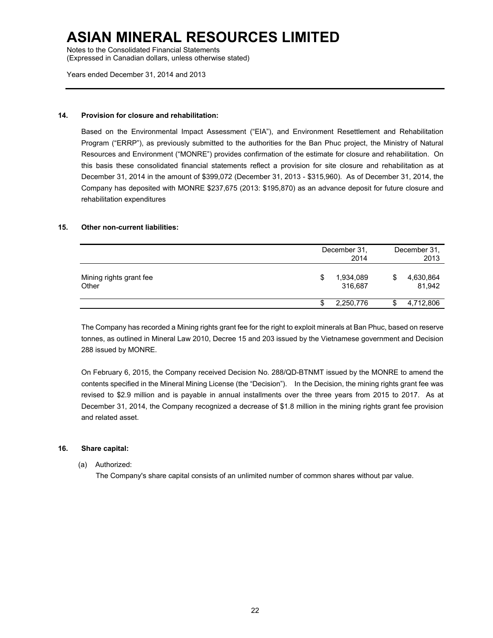Notes to the Consolidated Financial Statements (Expressed in Canadian dollars, unless otherwise stated)

Years ended December 31, 2014 and 2013

### **14. Provision for closure and rehabilitation:**

Based on the Environmental Impact Assessment ("EIA"), and Environment Resettlement and Rehabilitation Program ("ERRP"), as previously submitted to the authorities for the Ban Phuc project, the Ministry of Natural Resources and Environment ("MONRE") provides confirmation of the estimate for closure and rehabilitation. On this basis these consolidated financial statements reflect a provision for site closure and rehabilitation as at December 31, 2014 in the amount of \$399,072 (December 31, 2013 - \$315,960). As of December 31, 2014, the Company has deposited with MONRE \$237,675 (2013: \$195,870) as an advance deposit for future closure and rehabilitation expenditures

## **15. Other non-current liabilities:**

|                                  | December 31.<br>2014       | December 31.<br>2013      |  |  |
|----------------------------------|----------------------------|---------------------------|--|--|
| Mining rights grant fee<br>Other | \$<br>1,934,089<br>316,687 | \$<br>4,630,864<br>81,942 |  |  |
|                                  | 2,250,776                  | 4,712,806                 |  |  |

The Company has recorded a Mining rights grant fee for the right to exploit minerals at Ban Phuc, based on reserve tonnes, as outlined in Mineral Law 2010, Decree 15 and 203 issued by the Vietnamese government and Decision 288 issued by MONRE.

On February 6, 2015, the Company received Decision No. 288/QD-BTNMT issued by the MONRE to amend the contents specified in the Mineral Mining License (the "Decision"). In the Decision, the mining rights grant fee was revised to \$2.9 million and is payable in annual installments over the three years from 2015 to 2017. As at December 31, 2014, the Company recognized a decrease of \$1.8 million in the mining rights grant fee provision and related asset.

## **16. Share capital:**

(a) Authorized:

The Company's share capital consists of an unlimited number of common shares without par value.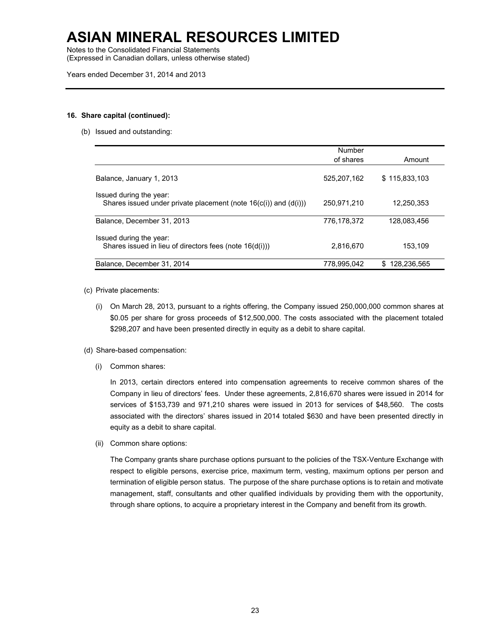Notes to the Consolidated Financial Statements (Expressed in Canadian dollars, unless otherwise stated)

Years ended December 31, 2014 and 2013

### **16. Share capital (continued):**

(b) Issued and outstanding:

|                                                                                                 | Number<br>of shares | Amount            |
|-------------------------------------------------------------------------------------------------|---------------------|-------------------|
|                                                                                                 |                     |                   |
| Balance, January 1, 2013                                                                        | 525,207,162         | \$115.833.103     |
| Issued during the year:<br>Shares issued under private placement (note $16(c(i))$ and $(d(i)))$ | 250.971.210         | 12,250,353        |
| Balance, December 31, 2013                                                                      | 776,178,372         | 128,083,456       |
| Issued during the year:<br>Shares issued in lieu of directors fees (note $16(d(i))$ )           | 2,816,670           | 153.109           |
| Balance, December 31, 2014                                                                      | 778,995,042         | 128.236.565<br>S. |

### (c) Private placements:

- (i) On March 28, 2013, pursuant to a rights offering, the Company issued 250,000,000 common shares at \$0.05 per share for gross proceeds of \$12,500,000. The costs associated with the placement totaled \$298,207 and have been presented directly in equity as a debit to share capital.
- (d) Share-based compensation:
	- (i) Common shares:

In 2013, certain directors entered into compensation agreements to receive common shares of the Company in lieu of directors' fees. Under these agreements, 2,816,670 shares were issued in 2014 for services of \$153,739 and 971,210 shares were issued in 2013 for services of \$48,560. The costs associated with the directors' shares issued in 2014 totaled \$630 and have been presented directly in equity as a debit to share capital.

(ii) Common share options:

The Company grants share purchase options pursuant to the policies of the TSX-Venture Exchange with respect to eligible persons, exercise price, maximum term, vesting, maximum options per person and termination of eligible person status. The purpose of the share purchase options is to retain and motivate management, staff, consultants and other qualified individuals by providing them with the opportunity, through share options, to acquire a proprietary interest in the Company and benefit from its growth.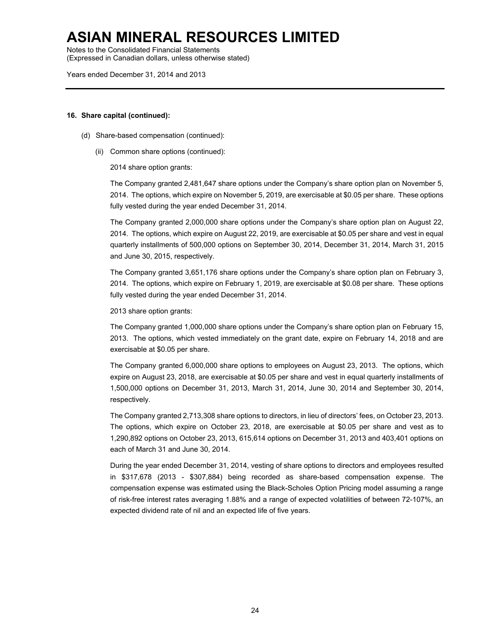Notes to the Consolidated Financial Statements (Expressed in Canadian dollars, unless otherwise stated)

Years ended December 31, 2014 and 2013

### **16. Share capital (continued):**

- (d) Share-based compensation (continued):
	- (ii) Common share options (continued):

2014 share option grants:

The Company granted 2,481,647 share options under the Company's share option plan on November 5, 2014. The options, which expire on November 5, 2019, are exercisable at \$0.05 per share. These options fully vested during the year ended December 31, 2014.

The Company granted 2,000,000 share options under the Company's share option plan on August 22, 2014. The options, which expire on August 22, 2019, are exercisable at \$0.05 per share and vest in equal quarterly installments of 500,000 options on September 30, 2014, December 31, 2014, March 31, 2015 and June 30, 2015, respectively.

The Company granted 3,651,176 share options under the Company's share option plan on February 3, 2014. The options, which expire on February 1, 2019, are exercisable at \$0.08 per share. These options fully vested during the year ended December 31, 2014.

2013 share option grants:

The Company granted 1,000,000 share options under the Company's share option plan on February 15, 2013. The options, which vested immediately on the grant date, expire on February 14, 2018 and are exercisable at \$0.05 per share.

The Company granted 6,000,000 share options to employees on August 23, 2013. The options, which expire on August 23, 2018, are exercisable at \$0.05 per share and vest in equal quarterly installments of 1,500,000 options on December 31, 2013, March 31, 2014, June 30, 2014 and September 30, 2014, respectively.

The Company granted 2,713,308 share options to directors, in lieu of directors' fees, on October 23, 2013. The options, which expire on October 23, 2018, are exercisable at \$0.05 per share and vest as to 1,290,892 options on October 23, 2013, 615,614 options on December 31, 2013 and 403,401 options on each of March 31 and June 30, 2014.

During the year ended December 31, 2014, vesting of share options to directors and employees resulted in \$317,678 (2013 - \$307,884) being recorded as share-based compensation expense. The compensation expense was estimated using the Black-Scholes Option Pricing model assuming a range of risk-free interest rates averaging 1.88% and a range of expected volatilities of between 72-107%, an expected dividend rate of nil and an expected life of five years.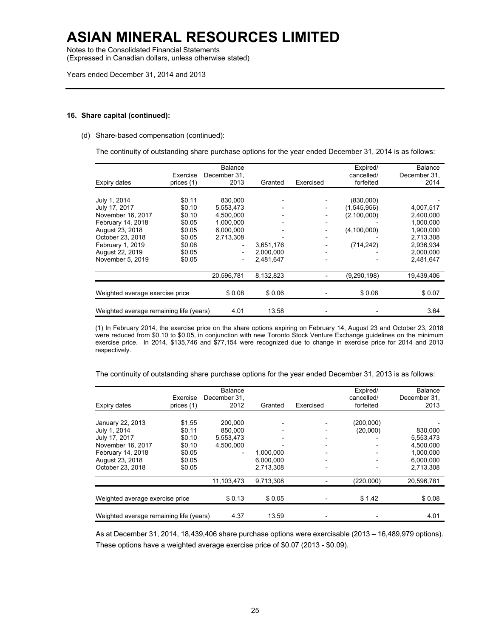Notes to the Consolidated Financial Statements (Expressed in Canadian dollars, unless otherwise stated)

Years ended December 31, 2014 and 2013

#### **16. Share capital (continued):**

(d) Share-based compensation (continued):

The continuity of outstanding share purchase options for the year ended December 31, 2014 is as follows:

| Expiry dates                            | Exercise<br>prices (1) | <b>Balance</b><br>December 31.<br>2013 | Granted   | Exercised                | Expired/<br>cancelled/<br>forfeited | Balance<br>December 31.<br>2014 |
|-----------------------------------------|------------------------|----------------------------------------|-----------|--------------------------|-------------------------------------|---------------------------------|
|                                         |                        |                                        |           |                          |                                     |                                 |
| July 1, 2014                            | \$0.11                 | 830.000                                |           |                          | (830,000)                           |                                 |
| July 17, 2017                           | \$0.10                 | 5,553,473                              |           | $\overline{\phantom{a}}$ | (1,545,956)                         | 4,007,517                       |
| November 16, 2017                       | \$0.10                 | 4.500.000                              |           | $\overline{\phantom{a}}$ | (2,100,000)                         | 2,400,000                       |
| February 14, 2018                       | \$0.05                 | 1.000.000                              |           |                          |                                     | 1,000,000                       |
| August 23, 2018                         | \$0.05                 | 6.000.000                              |           | $\overline{\phantom{a}}$ | (4,100,000)                         | 1,900,000                       |
| October 23, 2018                        | \$0.05                 | 2,713,308                              |           |                          |                                     | 2,713,308                       |
| February 1, 2019                        | \$0.08                 | $\overline{\phantom{a}}$               | 3.651.176 | $\overline{\phantom{a}}$ | (714, 242)                          | 2,936,934                       |
| August 22, 2019                         | \$0.05                 |                                        | 2.000.000 |                          |                                     | 2.000.000                       |
| November 5, 2019                        | \$0.05                 | $\overline{\phantom{a}}$               | 2.481.647 |                          |                                     | 2,481,647                       |
|                                         |                        | 20,596,781                             | 8,132,823 |                          | (9, 290, 198)                       | 19,439,406                      |
|                                         |                        |                                        |           |                          |                                     |                                 |
| Weighted average exercise price         |                        | \$0.08                                 | \$0.06    |                          | \$0.08                              | \$0.07                          |
| Weighted average remaining life (years) |                        | 4.01                                   | 13.58     |                          |                                     | 3.64                            |

(1) In February 2014, the exercise price on the share options expiring on February 14, August 23 and October 23, 2018 were reduced from \$0.10 to \$0.05, in conjunction with new Toronto Stock Venture Exchange guidelines on the minimum exercise price. In 2014, \$135,746 and \$77,154 were recognized due to change in exercise price for 2014 and 2013 respectively.

The continuity of outstanding share purchase options for the year ended December 31, 2013 is as follows:

|                                         | Exercise   | Balance<br>December 31.  |           |                          | Expired/<br>cancelled/ | Balance<br>December 31. |
|-----------------------------------------|------------|--------------------------|-----------|--------------------------|------------------------|-------------------------|
| Expiry dates                            | prices (1) | 2012                     | Granted   | Exercised                | forfeited              | 2013                    |
|                                         |            |                          |           |                          |                        |                         |
| January 22, 2013                        | \$1.55     | 200,000                  |           |                          | (200,000)              |                         |
| July 1, 2014                            | \$0.11     | 850.000                  |           |                          | (20,000)               | 830,000                 |
| July 17, 2017                           | \$0.10     | 5,553,473                |           |                          |                        | 5,553,473               |
| November 16, 2017                       | \$0.10     | 4,500,000                |           |                          |                        | 4,500,000               |
| February 14, 2018                       | \$0.05     | $\overline{\phantom{a}}$ | 1,000,000 | $\overline{\phantom{0}}$ |                        | 1.000.000               |
| August 23, 2018                         | \$0.05     |                          | 6.000.000 | $\overline{\phantom{0}}$ |                        | 6.000.000               |
| October 23, 2018                        | \$0.05     |                          | 2.713.308 |                          |                        | 2.713.308               |
|                                         |            | 11,103,473               | 9.713.308 |                          | (220,000)              | 20,596,781              |
|                                         |            |                          |           |                          |                        |                         |
| Weighted average exercise price         |            | \$0.13                   | \$0.05    |                          | \$1.42                 | \$0.08                  |
|                                         |            |                          |           |                          |                        |                         |
| Weighted average remaining life (years) |            | 4.37                     | 13.59     |                          |                        | 4.01                    |

As at December 31, 2014, 18,439,406 share purchase options were exercisable (2013 – 16,489,979 options). These options have a weighted average exercise price of \$0.07 (2013 - \$0.09).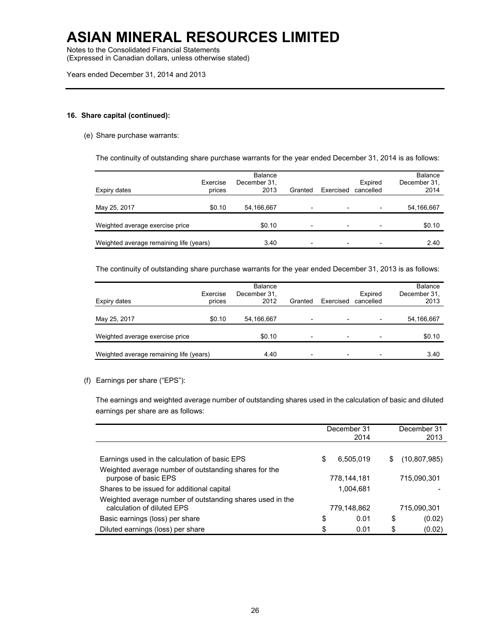Notes to the Consolidated Financial Statements (Expressed in Canadian dollars, unless otherwise stated)

### **16. Share capital (continued):**

(e) Share purchase warrants:

The continuity of outstanding share purchase warrants for the year ended December 31, 2014 is as follows:

| Expiry dates                            | Exercise<br>prices | <b>Balance</b><br>December 31,<br>2013 | Granted                  | Exercised                | Expired<br>cancelled     | Balance<br>December 31.<br>2014 |
|-----------------------------------------|--------------------|----------------------------------------|--------------------------|--------------------------|--------------------------|---------------------------------|
| May 25, 2017                            | \$0.10             | 54,166,667                             | $\overline{\phantom{0}}$ |                          |                          | 54,166,667                      |
| Weighted average exercise price         |                    | \$0.10                                 | $\overline{\phantom{0}}$ | $\overline{\phantom{0}}$ | $\overline{\phantom{a}}$ | \$0.10                          |
| Weighted average remaining life (years) |                    | 3.40                                   | $\overline{\phantom{0}}$ | $\overline{\phantom{0}}$ |                          | 2.40                            |

The continuity of outstanding share purchase warrants for the year ended December 31, 2013 is as follows:

| Expiry dates                            | Exercise<br>prices | <b>Balance</b><br>December 31,<br>2012 | Granted                  | Exercised                | Expired<br>cancelled     | <b>Balance</b><br>December 31,<br>2013 |
|-----------------------------------------|--------------------|----------------------------------------|--------------------------|--------------------------|--------------------------|----------------------------------------|
| May 25, 2017                            | \$0.10             | 54,166,667                             | $\overline{\phantom{a}}$ | $\overline{\phantom{a}}$ | $\overline{\phantom{0}}$ | 54,166,667                             |
| Weighted average exercise price         |                    | \$0.10                                 | -                        | $\overline{\phantom{0}}$ | $\overline{\phantom{a}}$ | \$0.10                                 |
| Weighted average remaining life (years) |                    | 4.40                                   | -                        | $\overline{\phantom{0}}$ | $\overline{\phantom{a}}$ | 3.40                                   |

## (f) Earnings per share ("EPS"):

The earnings and weighted average number of outstanding shares used in the calculation of basic and diluted earnings per share are as follows:

|                                                                               | December 31     |    | December 31    |
|-------------------------------------------------------------------------------|-----------------|----|----------------|
|                                                                               | 2014            |    | 2013           |
|                                                                               |                 |    |                |
| Earnings used in the calculation of basic EPS                                 | \$<br>6,505,019 | S  | (10, 807, 985) |
| Weighted average number of outstanding shares for the<br>purpose of basic EPS | 778,144,181     |    | 715,090,301    |
|                                                                               |                 |    |                |
| Shares to be issued for additional capital                                    | 1.004.681       |    |                |
| Weighted average number of outstanding shares used in the                     |                 |    |                |
| calculation of diluted EPS                                                    | 779.148.862     |    | 715,090,301    |
| Basic earnings (loss) per share                                               | \$<br>0.01      | \$ | (0.02)         |
| Diluted earnings (loss) per share                                             | \$<br>0.01      | \$ | (0.02)         |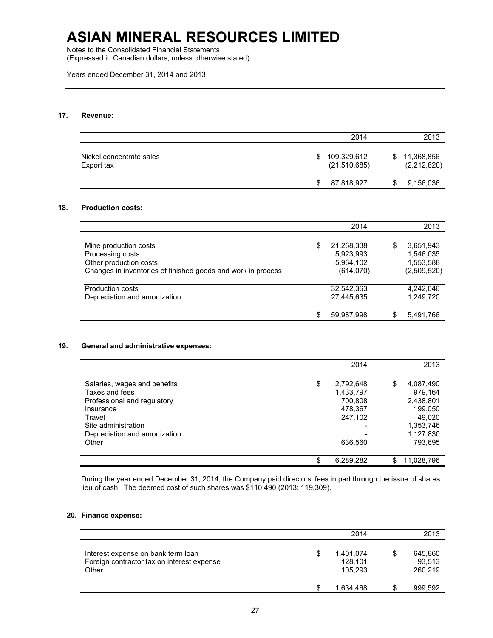Notes to the Consolidated Financial Statements

(Expressed in Canadian dollars, unless otherwise stated)

#### **17. Revenue:**

|                                        |     | 2014                        |   | 2013                      |
|----------------------------------------|-----|-----------------------------|---|---------------------------|
| Nickel concentrate sales<br>Export tax | S.  | 109,329,612<br>(21,510,685) | S | 11,368,856<br>(2,212,820) |
|                                        | \$. | 87,818,927                  |   | 9,156,036                 |

#### **18. Production costs:**

|                                                                                                                                     |    | 2014                                              |     | 2013                                               |
|-------------------------------------------------------------------------------------------------------------------------------------|----|---------------------------------------------------|-----|----------------------------------------------------|
| Mine production costs<br>Processing costs<br>Other production costs<br>Changes in inventories of finished goods and work in process | S  | 21,268,338<br>5,923,993<br>5,964,102<br>(614,070) | S   | 3,651,943<br>1,546,035<br>1,553,588<br>(2,509,520) |
| <b>Production costs</b><br>Depreciation and amortization                                                                            |    | 32,542,363<br>27,445,635                          |     | 4.242.046<br>1.249.720                             |
|                                                                                                                                     | \$ | 59,987,998                                        | \$. | 5,491,766                                          |

## **19. General and administrative expenses:**

|                               | 2014            | 2013             |
|-------------------------------|-----------------|------------------|
|                               |                 |                  |
| Salaries, wages and benefits  | \$<br>2,792,648 | \$<br>4,087,490  |
| Taxes and fees                | 1,433,797       | 979.164          |
| Professional and regulatory   | 700.808         | 2,438,801        |
| Insurance                     | 478,367         | 199,050          |
| Travel                        | 247,102         | 49.020           |
| Site administration           |                 | 1,353,746        |
| Depreciation and amortization |                 | 1,127,830        |
| Other                         | 636,560         | 793.695          |
|                               | \$<br>6,289,282 | \$<br>11,028,796 |

During the year ended December 31, 2014, the Company paid directors' fees in part through the issue of shares lieu of cash. The deemed cost of such shares was \$110,490 (2013: 119,309).

#### **20. Finance expense:**

|                                                                                           | 2014                            | 2013                         |
|-------------------------------------------------------------------------------------------|---------------------------------|------------------------------|
| Interest expense on bank term loan<br>Foreign contractor tax on interest expense<br>Other | 1,401,074<br>128,101<br>105.293 | 645,860<br>93,513<br>260,219 |
|                                                                                           | 1,634,468                       | 999,592                      |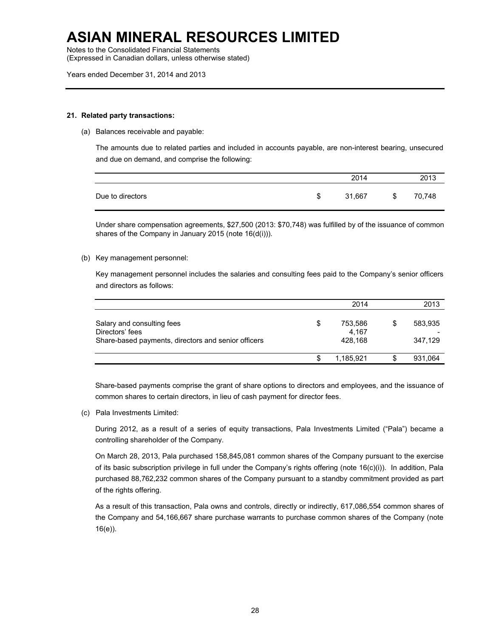Notes to the Consolidated Financial Statements (Expressed in Canadian dollars, unless otherwise stated)

Years ended December 31, 2014 and 2013

### **21. Related party transactions:**

(a) Balances receivable and payable:

The amounts due to related parties and included in accounts payable, are non-interest bearing, unsecured and due on demand, and comprise the following:

|                  | 2014         | 2013         |
|------------------|--------------|--------------|
| Due to directors | \$<br>31.667 | \$<br>70,748 |

Under share compensation agreements, \$27,500 (2013: \$70,748) was fulfilled by of the issuance of common shares of the Company in January 2015 (note 16(d(i))).

### (b) Key management personnel:

Key management personnel includes the salaries and consulting fees paid to the Company's senior officers and directors as follows:

|                                                                                                      | 2014                              |   | 2013               |
|------------------------------------------------------------------------------------------------------|-----------------------------------|---|--------------------|
| Salary and consulting fees<br>Directors' fees<br>Share-based payments, directors and senior officers | \$<br>753,586<br>4.167<br>428.168 | S | 583,935<br>347.129 |
|                                                                                                      | 1,185,921                         | S | 931.064            |

Share-based payments comprise the grant of share options to directors and employees, and the issuance of common shares to certain directors, in lieu of cash payment for director fees.

(c) Pala Investments Limited:

During 2012, as a result of a series of equity transactions, Pala Investments Limited ("Pala") became a controlling shareholder of the Company.

On March 28, 2013, Pala purchased 158,845,081 common shares of the Company pursuant to the exercise of its basic subscription privilege in full under the Company's rights offering (note 16(c)(i)). In addition, Pala purchased 88,762,232 common shares of the Company pursuant to a standby commitment provided as part of the rights offering.

As a result of this transaction, Pala owns and controls, directly or indirectly, 617,086,554 common shares of the Company and 54,166,667 share purchase warrants to purchase common shares of the Company (note 16(e)).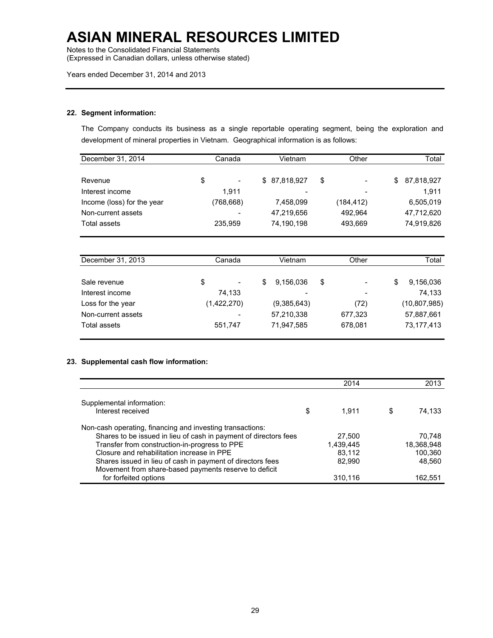Notes to the Consolidated Financial Statements (Expressed in Canadian dollars, unless otherwise stated)

Years ended December 31, 2014 and 2013

### **22. Segment information:**

The Company conducts its business as a single reportable operating segment, being the exploration and development of mineral properties in Vietnam. Geographical information is as follows:

| December 31, 2014          | Canada     | Vietnam       | Other      |    |            |
|----------------------------|------------|---------------|------------|----|------------|
|                            |            |               |            |    |            |
| Revenue                    | \$<br>-    | \$ 87,818,927 | \$         | S. | 87,818,927 |
| Interest income            | 1.911      | -             |            |    | 1.911      |
| Income (loss) for the year | (768, 668) | 7,458,099     | (184, 412) |    | 6,505,019  |
| Non-current assets         |            | 47,219,656    | 492,964    |    | 47,712,620 |
| Total assets               | 235,959    | 74,190,198    | 493,669    |    | 74,919,826 |
|                            |            |               |            |    |            |
|                            |            |               |            |    |            |

| December 31, 2013  | Canada                         | Vietnam          | Other                    | Total          |
|--------------------|--------------------------------|------------------|--------------------------|----------------|
| Sale revenue       | \$<br>$\overline{\phantom{a}}$ | 9.156.036<br>\$. | \$<br>-                  | 9,156,036<br>S |
| Interest income    | 74.133                         | -                | $\overline{\phantom{a}}$ | 74.133         |
| Loss for the year  | (1,422,270)                    | (9,385,643)      | (72)                     | (10, 807, 985) |
| Non-current assets | $\overline{\phantom{a}}$       | 57,210,338       | 677,323                  | 57,887,661     |
| Total assets       | 551.747                        | 71,947,585       | 678,081                  | 73,177,413     |

## **23. Supplemental cash flow information:**

|                                                                                                                               | 2014        |   | 2013       |
|-------------------------------------------------------------------------------------------------------------------------------|-------------|---|------------|
| Supplemental information:<br>Interest received                                                                                | \$<br>1.911 | S | 74,133     |
| Non-cash operating, financing and investing transactions:<br>Shares to be issued in lieu of cash in payment of directors fees | 27,500      |   | 70,748     |
| Transfer from construction-in-progress to PPE                                                                                 | 1,439,445   |   | 18,368,948 |
| Closure and rehabilitation increase in PPE                                                                                    | 83.112      |   | 100,360    |
| Shares issued in lieu of cash in payment of directors fees                                                                    | 82.990      |   | 48.560     |
| Movement from share-based payments reserve to deficit                                                                         |             |   |            |
| for forfeited options                                                                                                         | 310.116     |   | 162,551    |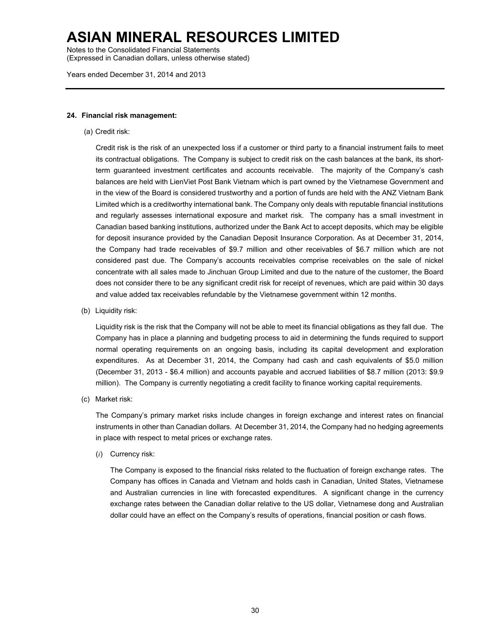Notes to the Consolidated Financial Statements (Expressed in Canadian dollars, unless otherwise stated)

Years ended December 31, 2014 and 2013

### **24. Financial risk management:**

(a) Credit risk:

Credit risk is the risk of an unexpected loss if a customer or third party to a financial instrument fails to meet its contractual obligations. The Company is subject to credit risk on the cash balances at the bank, its shortterm guaranteed investment certificates and accounts receivable. The majority of the Company's cash balances are held with LienViet Post Bank Vietnam which is part owned by the Vietnamese Government and in the view of the Board is considered trustworthy and a portion of funds are held with the ANZ Vietnam Bank Limited which is a creditworthy international bank. The Company only deals with reputable financial institutions and regularly assesses international exposure and market risk. The company has a small investment in Canadian based banking institutions, authorized under the Bank Act to accept deposits, which may be eligible for deposit insurance provided by the Canadian Deposit Insurance Corporation. As at December 31, 2014, the Company had trade receivables of \$9.7 million and other receivables of \$6.7 million which are not considered past due. The Company's accounts receivables comprise receivables on the sale of nickel concentrate with all sales made to Jinchuan Group Limited and due to the nature of the customer, the Board does not consider there to be any significant credit risk for receipt of revenues, which are paid within 30 days and value added tax receivables refundable by the Vietnamese government within 12 months.

(b) Liquidity risk:

Liquidity risk is the risk that the Company will not be able to meet its financial obligations as they fall due. The Company has in place a planning and budgeting process to aid in determining the funds required to support normal operating requirements on an ongoing basis, including its capital development and exploration expenditures. As at December 31, 2014, the Company had cash and cash equivalents of \$5.0 million (December 31, 2013 - \$6.4 million) and accounts payable and accrued liabilities of \$8.7 million (2013: \$9.9 million). The Company is currently negotiating a credit facility to finance working capital requirements.

(c) Market risk:

The Company's primary market risks include changes in foreign exchange and interest rates on financial instruments in other than Canadian dollars. At December 31, 2014, the Company had no hedging agreements in place with respect to metal prices or exchange rates.

(*i*) Currency risk:

The Company is exposed to the financial risks related to the fluctuation of foreign exchange rates. The Company has offices in Canada and Vietnam and holds cash in Canadian, United States, Vietnamese and Australian currencies in line with forecasted expenditures. A significant change in the currency exchange rates between the Canadian dollar relative to the US dollar, Vietnamese dong and Australian dollar could have an effect on the Company's results of operations, financial position or cash flows.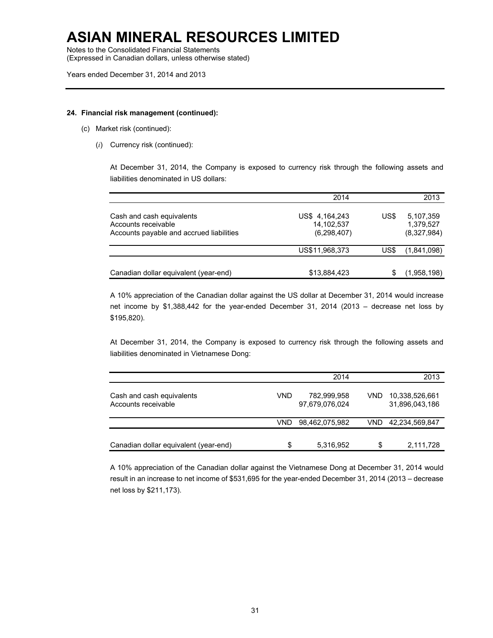Notes to the Consolidated Financial Statements (Expressed in Canadian dollars, unless otherwise stated)

Years ended December 31, 2014 and 2013

### **24. Financial risk management (continued):**

- (c) Market risk (continued):
	- (*i*) Currency risk (continued):

At December 31, 2014, the Company is exposed to currency risk through the following assets and liabilities denominated in US dollars:

|                                                                                              | 2014                                          |      | 2013                                  |
|----------------------------------------------------------------------------------------------|-----------------------------------------------|------|---------------------------------------|
| Cash and cash equivalents<br>Accounts receivable<br>Accounts payable and accrued liabilities | US\$ 4,164,243<br>14,102,537<br>(6, 298, 407) | US\$ | 5,107,359<br>1,379,527<br>(8,327,984) |
|                                                                                              | US\$11,968,373                                | US\$ | (1,841,098)                           |
| Canadian dollar equivalent (year-end)                                                        | \$13,884,423                                  |      | (1,958,198)                           |

A 10% appreciation of the Canadian dollar against the US dollar at December 31, 2014 would increase net income by \$1,388,442 for the year-ended December 31, 2014 (2013 – decrease net loss by \$195,820).

At December 31, 2014, the Company is exposed to currency risk through the following assets and liabilities denominated in Vietnamese Dong:

|                                                  |     | 2014                          |      | 2013                             |
|--------------------------------------------------|-----|-------------------------------|------|----------------------------------|
| Cash and cash equivalents<br>Accounts receivable | VND | 782,999,958<br>97.679.076.024 | VND. | 10,338,526,661<br>31.896.043.186 |
|                                                  | VND | 98,462,075,982                | VND. | 42,234,569,847                   |
| Canadian dollar equivalent (year-end)            | \$  | 5,316,952                     | \$   | 2,111,728                        |

A 10% appreciation of the Canadian dollar against the Vietnamese Dong at December 31, 2014 would result in an increase to net income of \$531,695 for the year-ended December 31, 2014 (2013 – decrease net loss by \$211,173).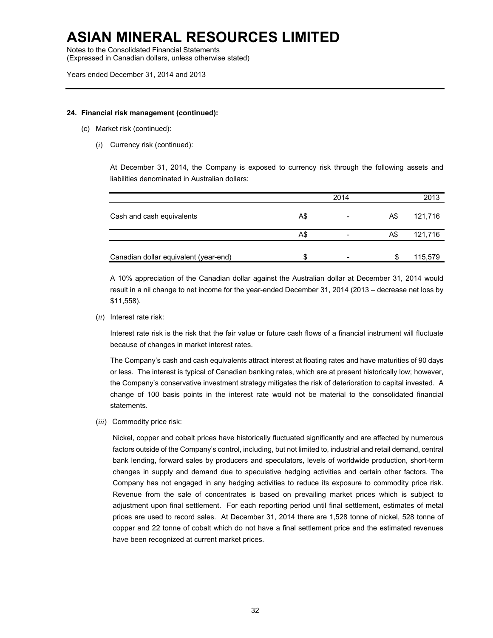Notes to the Consolidated Financial Statements (Expressed in Canadian dollars, unless otherwise stated)

### **24. Financial risk management (continued):**

- (c) Market risk (continued):
	- (*i*) Currency risk (continued):

At December 31, 2014, the Company is exposed to currency risk through the following assets and liabilities denominated in Australian dollars:

|                                       |     | 2014                     |     | 2013    |
|---------------------------------------|-----|--------------------------|-----|---------|
| Cash and cash equivalents             | A\$ | $\overline{\phantom{a}}$ | A\$ | 121,716 |
|                                       | A\$ |                          | A\$ | 121,716 |
| Canadian dollar equivalent (year-end) |     | $\overline{\phantom{0}}$ | \$  | 115,579 |

A 10% appreciation of the Canadian dollar against the Australian dollar at December 31, 2014 would result in a nil change to net income for the year-ended December 31, 2014 (2013 – decrease net loss by \$11,558).

(*ii*) Interest rate risk:

Interest rate risk is the risk that the fair value or future cash flows of a financial instrument will fluctuate because of changes in market interest rates.

The Company's cash and cash equivalents attract interest at floating rates and have maturities of 90 days or less. The interest is typical of Canadian banking rates, which are at present historically low; however, the Company's conservative investment strategy mitigates the risk of deterioration to capital invested. A change of 100 basis points in the interest rate would not be material to the consolidated financial statements.

(*iii*) Commodity price risk:

Nickel, copper and cobalt prices have historically fluctuated significantly and are affected by numerous factors outside of the Company's control, including, but not limited to, industrial and retail demand, central bank lending, forward sales by producers and speculators, levels of worldwide production, short-term changes in supply and demand due to speculative hedging activities and certain other factors. The Company has not engaged in any hedging activities to reduce its exposure to commodity price risk. Revenue from the sale of concentrates is based on prevailing market prices which is subject to adjustment upon final settlement. For each reporting period until final settlement, estimates of metal prices are used to record sales. At December 31, 2014 there are 1,528 tonne of nickel, 528 tonne of copper and 22 tonne of cobalt which do not have a final settlement price and the estimated revenues have been recognized at current market prices.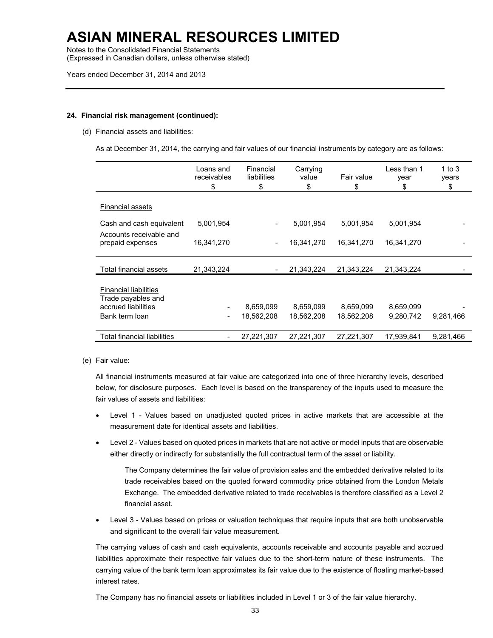Notes to the Consolidated Financial Statements (Expressed in Canadian dollars, unless otherwise stated)

### **24. Financial risk management (continued):**

(d) Financial assets and liabilities:

As at December 31, 2014, the carrying and fair values of our financial instruments by category are as follows:

|                                                                                             | Loans and<br>receivables<br>\$ | Financial<br>liabilities<br>\$ | Carrying<br>value<br>\$ | Fair value<br>\$        | Less than 1<br>vear<br>\$ | 1 to $3$<br>years<br>\$ |
|---------------------------------------------------------------------------------------------|--------------------------------|--------------------------------|-------------------------|-------------------------|---------------------------|-------------------------|
| Financial assets                                                                            |                                |                                |                         |                         |                           |                         |
| Cash and cash equivalent                                                                    | 5,001,954                      |                                | 5,001,954               | 5.001.954               | 5,001,954                 |                         |
| Accounts receivable and<br>prepaid expenses                                                 | 16,341,270                     |                                | 16,341,270              | 16,341,270              | 16,341,270                |                         |
| Total financial assets                                                                      | 21,343,224                     |                                | 21,343,224              | 21,343,224              | 21,343,224                |                         |
| <b>Financial liabilities</b><br>Trade payables and<br>accrued liabilities<br>Bank term loan | ٠                              | 8,659,099<br>18,562,208        | 8,659,099<br>18,562,208 | 8,659,099<br>18,562,208 | 8,659,099<br>9,280,742    | 9,281,466               |
| Total financial liabilities                                                                 | -                              | 27,221,307                     | 27,221,307              | 27,221,307              | 17,939,841                | 9.281.466               |

(e) Fair value:

All financial instruments measured at fair value are categorized into one of three hierarchy levels, described below, for disclosure purposes. Each level is based on the transparency of the inputs used to measure the fair values of assets and liabilities:

- Level 1 Values based on unadjusted quoted prices in active markets that are accessible at the measurement date for identical assets and liabilities.
- Level 2 Values based on quoted prices in markets that are not active or model inputs that are observable either directly or indirectly for substantially the full contractual term of the asset or liability.

The Company determines the fair value of provision sales and the embedded derivative related to its trade receivables based on the quoted forward commodity price obtained from the London Metals Exchange. The embedded derivative related to trade receivables is therefore classified as a Level 2 financial asset.

Level 3 - Values based on prices or valuation techniques that require inputs that are both unobservable and significant to the overall fair value measurement.

The carrying values of cash and cash equivalents, accounts receivable and accounts payable and accrued liabilities approximate their respective fair values due to the short-term nature of these instruments. The carrying value of the bank term loan approximates its fair value due to the existence of floating market-based interest rates.

The Company has no financial assets or liabilities included in Level 1 or 3 of the fair value hierarchy.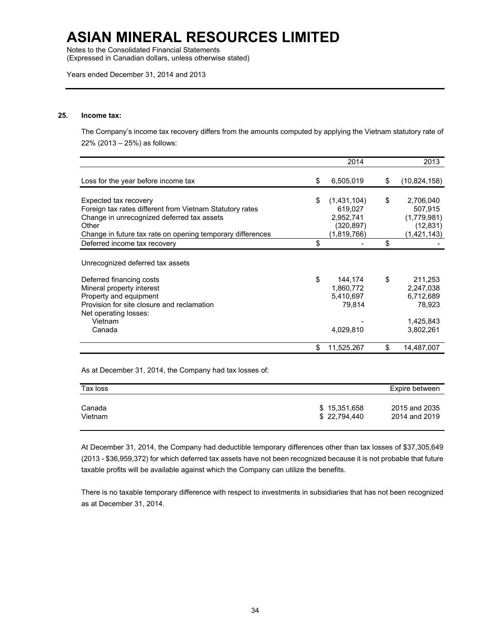Notes to the Consolidated Financial Statements (Expressed in Canadian dollars, unless otherwise stated)

Years ended December 31, 2014 and 2013

## **25. Income tax:**

The Company's income tax recovery differs from the amounts computed by applying the Vietnam statutory rate of 22% (2013 – 25%) as follows:

|                                                                                                                                                                                                        | 2014                                                                   | 2013                                                                  |
|--------------------------------------------------------------------------------------------------------------------------------------------------------------------------------------------------------|------------------------------------------------------------------------|-----------------------------------------------------------------------|
| Loss for the year before income tax                                                                                                                                                                    | \$<br>6,505,019                                                        | \$<br>(10,824,158)                                                    |
| Expected tax recovery<br>Foreign tax rates different from Vietnam Statutory rates<br>Change in unrecognized deferred tax assets<br>Other<br>Change in future tax rate on opening temporary differences | \$<br>(1,431,104)<br>619,027<br>2,952,741<br>(320, 897)<br>(1,819,766) | \$<br>2,706,040<br>507,915<br>(1,779,981)<br>(12, 831)<br>(1,421,143) |
| Deferred income tax recovery                                                                                                                                                                           | \$                                                                     | \$                                                                    |
| Unrecognized deferred tax assets<br>Deferred financing costs<br>Mineral property interest                                                                                                              | \$<br>144,174<br>1,860,772                                             | \$<br>211,253<br>2,247,038                                            |
| Property and equipment<br>Provision for site closure and reclamation<br>Net operating losses:                                                                                                          | 5,410,697<br>79,814                                                    | 6,712,689<br>78,923                                                   |
| Vietnam<br>Canada                                                                                                                                                                                      | 4,029,810                                                              | 1,425,843<br>3,802,261                                                |
|                                                                                                                                                                                                        | \$<br>11,525,267                                                       | \$<br>14.487.007                                                      |

As at December 31, 2014, the Company had tax losses of:

| Tax loss |              | Expire between |
|----------|--------------|----------------|
| Canada   | \$15,351,658 | 2015 and 2035  |
| Vietnam  | \$22.794.440 | 2014 and 2019  |

At December 31, 2014, the Company had deductible temporary differences other than tax losses of \$37,305,649 (2013 - \$36,959,372) for which deferred tax assets have not been recognized because it is not probable that future taxable profits will be available against which the Company can utilize the benefits.

There is no taxable temporary difference with respect to investments in subsidiaries that has not been recognized as at December 31, 2014.